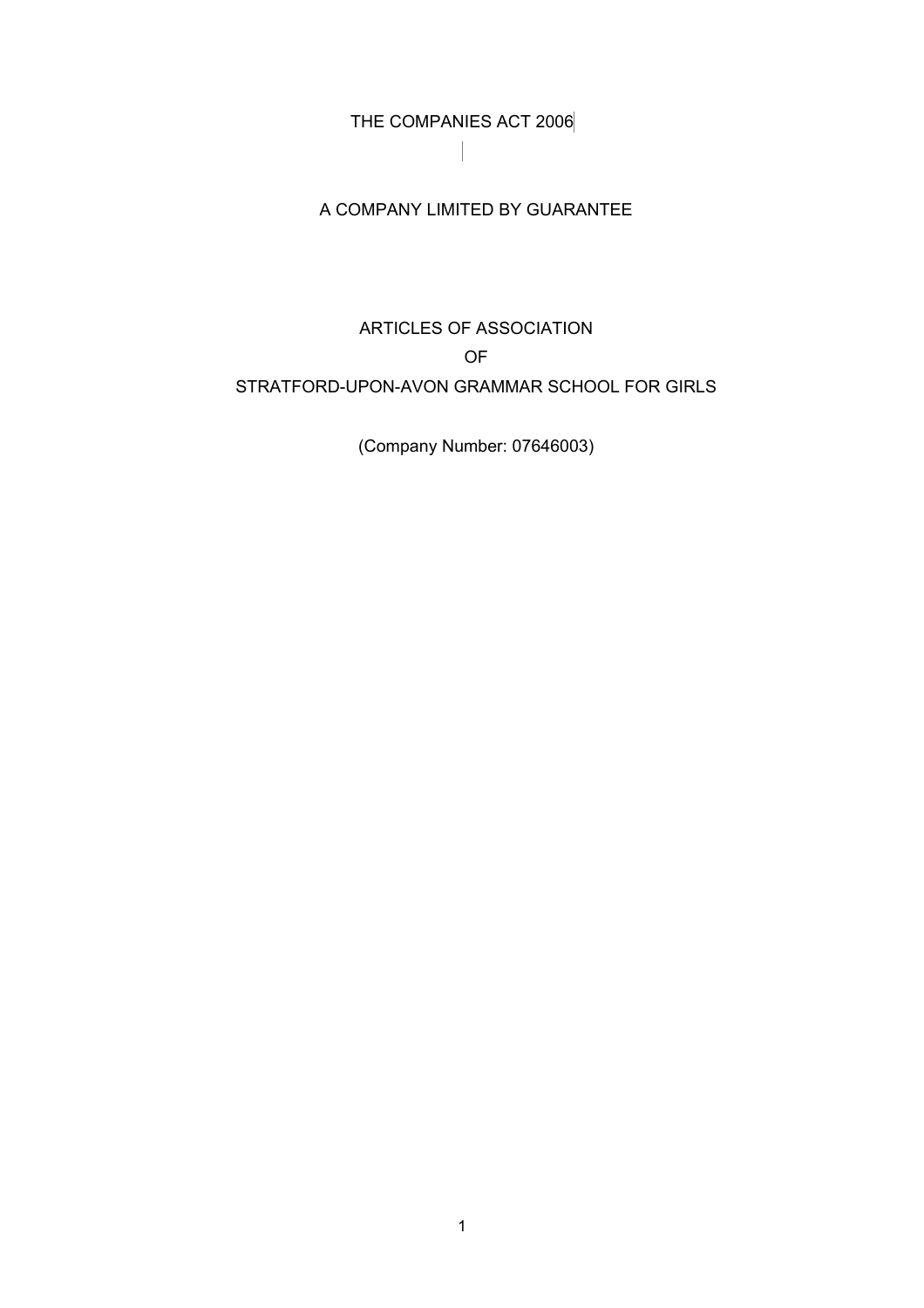THE COMPANIES ACT 2006

## A COMPANY LIMITED BY GUARANTEE

## ARTICLES OF ASSOCIATION OF STRATFORD-UPON-AVON GRAMMAR SCHOOL FOR GIRLS

(Company Number: 07646003)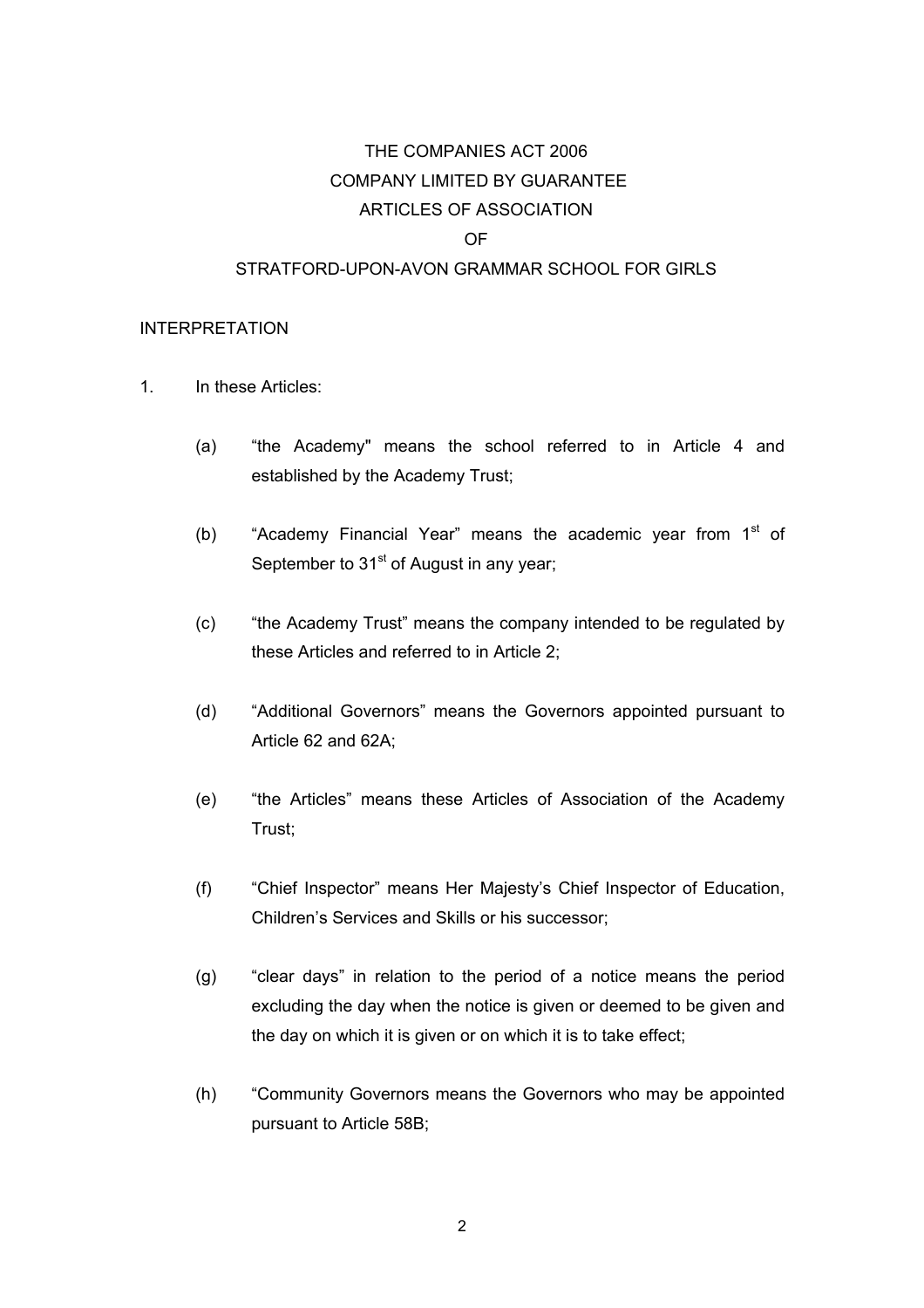# THE COMPANIES ACT 2006 COMPANY LIMITED BY GUARANTEE ARTICLES OF ASSOCIATION OF STRATFORD-UPON-AVON GRAMMAR SCHOOL FOR GIRLS

#### INTERPRETATION

- 1. In these Articles:
	- (a) "the Academy" means the school referred to in Article 4 and established by the Academy Trust;
	- (b) "Academy Financial Year" means the academic year from  $1<sup>st</sup>$  of September to  $31<sup>st</sup>$  of August in any year;
	- (c) "the Academy Trust" means the company intended to be regulated by these Articles and referred to in Article 2;
	- (d) "Additional Governors" means the Governors appointed pursuant to Article 62 and 62A;
	- (e) "the Articles" means these Articles of Association of the Academy Trust;
	- (f) "Chief Inspector" means Her Majesty's Chief Inspector of Education, Children's Services and Skills or his successor;
	- (g) "clear days" in relation to the period of a notice means the period excluding the day when the notice is given or deemed to be given and the day on which it is given or on which it is to take effect;
	- (h) "Community Governors means the Governors who may be appointed pursuant to Article 58B;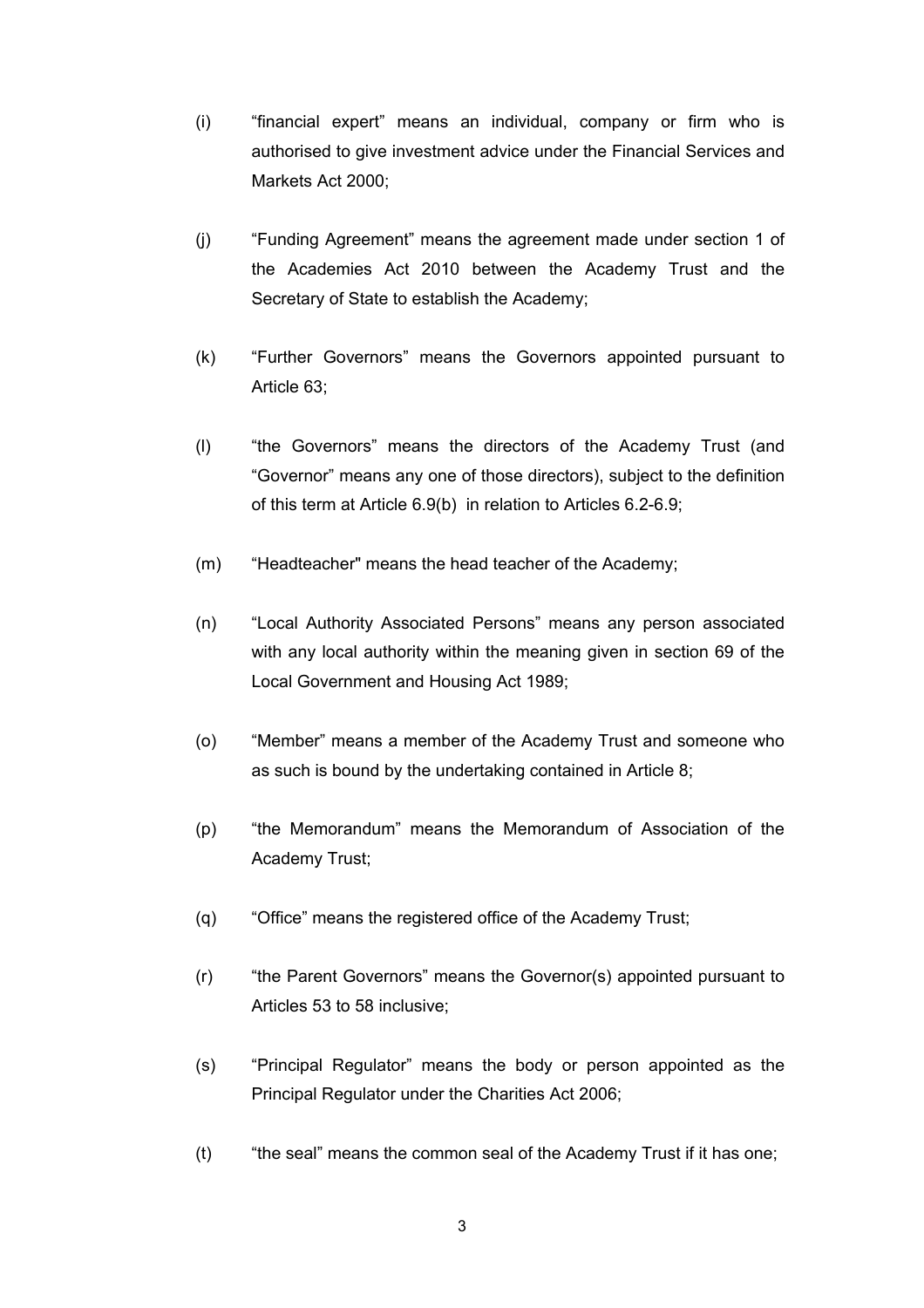- (i) "financial expert" means an individual, company or firm who is authorised to give investment advice under the Financial Services and Markets Act 2000;
- (j) "Funding Agreement" means the agreement made under section 1 of the Academies Act 2010 between the Academy Trust and the Secretary of State to establish the Academy;
- (k) "Further Governors" means the Governors appointed pursuant to Article 63;
- (l) "the Governors" means the directors of the Academy Trust (and "Governor" means any one of those directors), subject to the definition of this term at Article 6.9(b) in relation to Articles 6.2-6.9;
- (m) "Headteacher" means the head teacher of the Academy;
- (n) "Local Authority Associated Persons" means any person associated with any local authority within the meaning given in section 69 of the Local Government and Housing Act 1989;
- (o) "Member" means a member of the Academy Trust and someone who as such is bound by the undertaking contained in Article 8;
- (p) "the Memorandum" means the Memorandum of Association of the Academy Trust;
- (q) "Office" means the registered office of the Academy Trust;
- (r) "the Parent Governors" means the Governor(s) appointed pursuant to Articles 53 to 58 inclusive;
- (s) "Principal Regulator" means the body or person appointed as the Principal Regulator under the Charities Act 2006;
- (t) "the seal" means the common seal of the Academy Trust if it has one;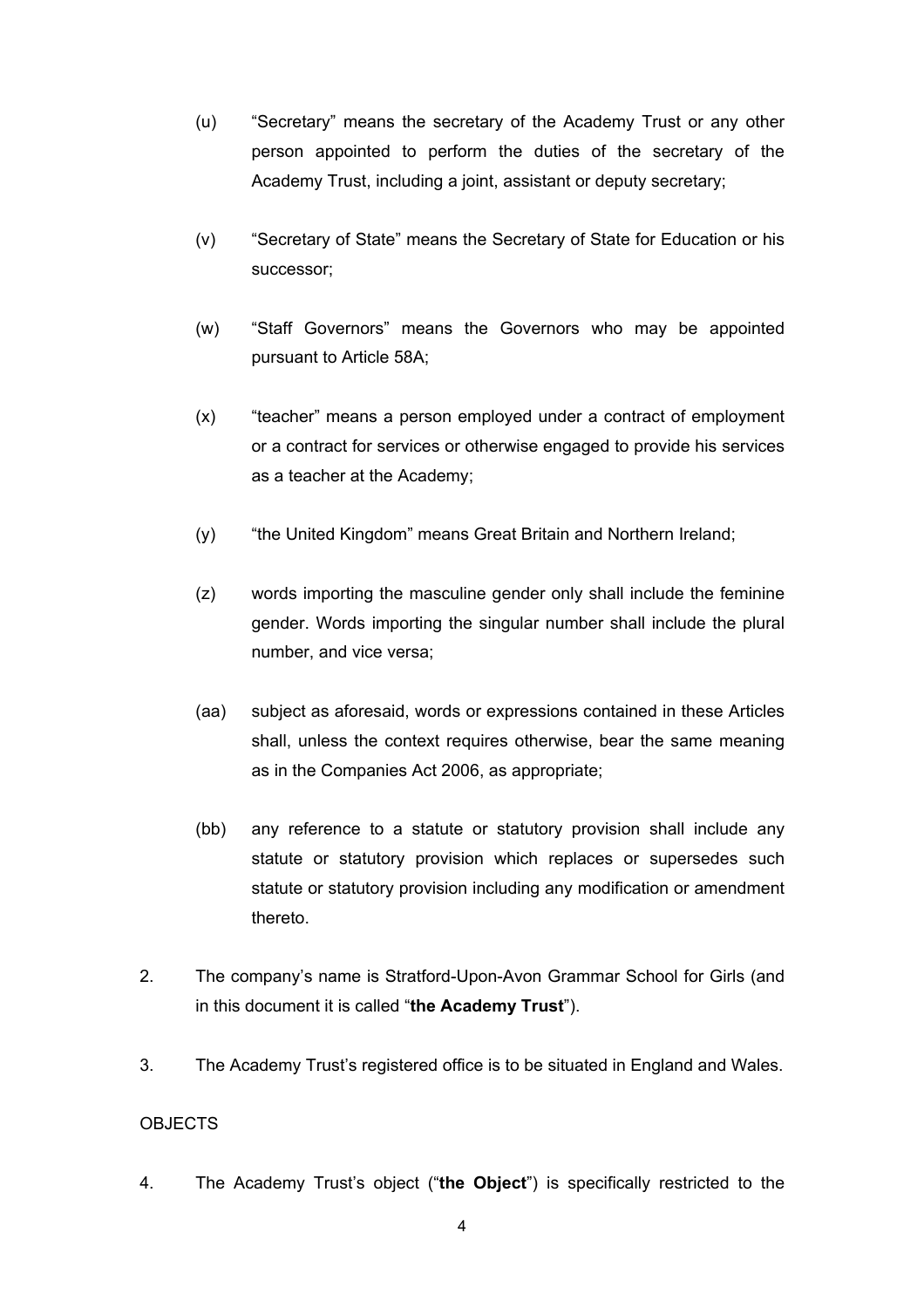- (u) "Secretary" means the secretary of the Academy Trust or any other person appointed to perform the duties of the secretary of the Academy Trust, including a joint, assistant or deputy secretary;
- (v) "Secretary of State" means the Secretary of State for Education or his successor;
- (w) "Staff Governors" means the Governors who may be appointed pursuant to Article 58A;
- (x) "teacher" means a person employed under a contract of employment or a contract for services or otherwise engaged to provide his services as a teacher at the Academy;
- (y) "the United Kingdom" means Great Britain and Northern Ireland;
- (z) words importing the masculine gender only shall include the feminine gender. Words importing the singular number shall include the plural number, and vice versa;
- (aa) subject as aforesaid, words or expressions contained in these Articles shall, unless the context requires otherwise, bear the same meaning as in the Companies Act 2006, as appropriate;
- (bb) any reference to a statute or statutory provision shall include any statute or statutory provision which replaces or supersedes such statute or statutory provision including any modification or amendment thereto.
- 2. The company's name is Stratford-Upon-Avon Grammar School for Girls (and in this document it is called "**the Academy Trust**").
- 3. The Academy Trust's registered office is to be situated in England and Wales.

## **OBJECTS**

4. The Academy Trust's object ("**the Object**") is specifically restricted to the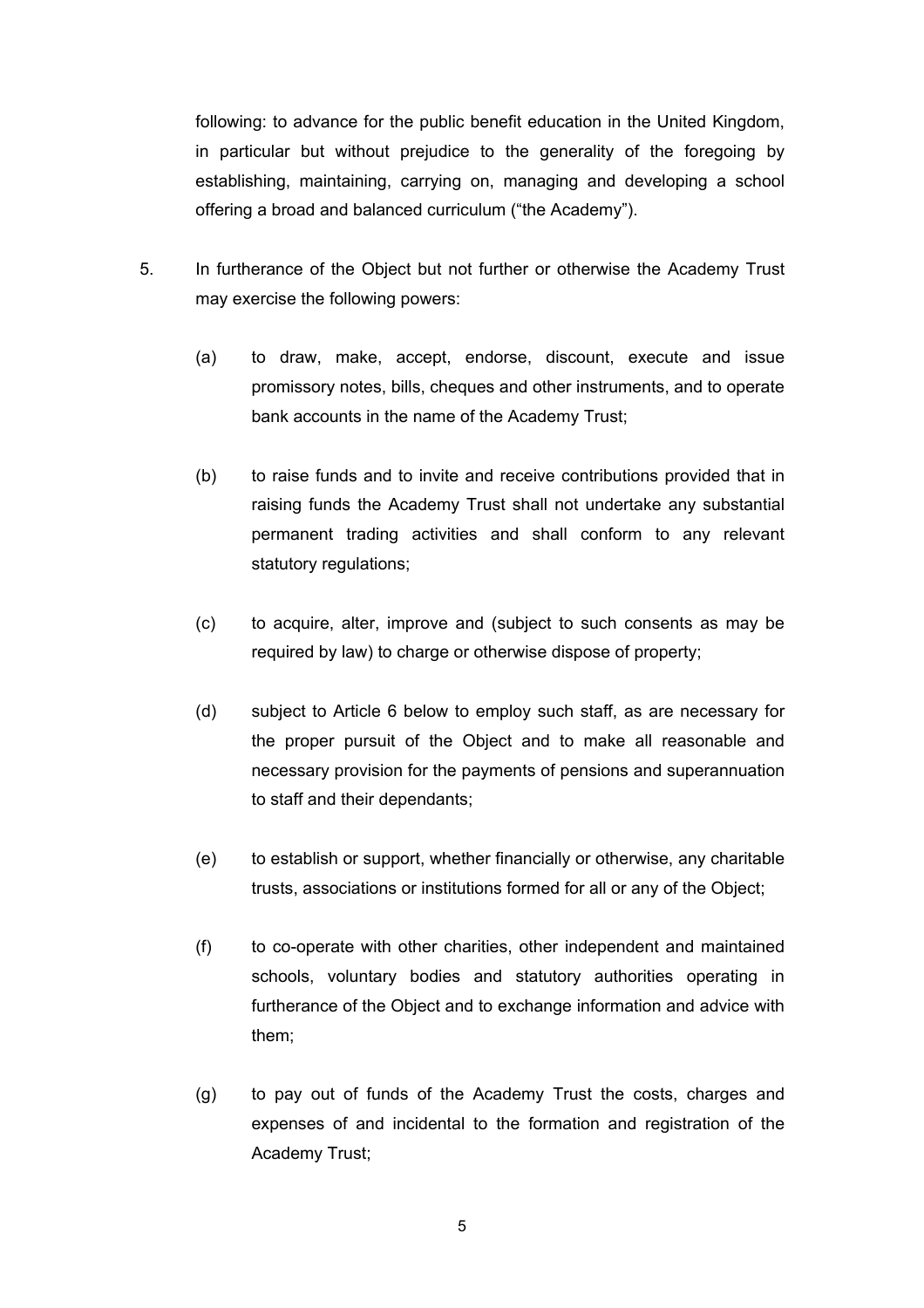following: to advance for the public benefit education in the United Kingdom, in particular but without prejudice to the generality of the foregoing by establishing, maintaining, carrying on, managing and developing a school offering a broad and balanced curriculum ("the Academy").

- 5. In furtherance of the Object but not further or otherwise the Academy Trust may exercise the following powers:
	- (a) to draw, make, accept, endorse, discount, execute and issue promissory notes, bills, cheques and other instruments, and to operate bank accounts in the name of the Academy Trust;
	- (b) to raise funds and to invite and receive contributions provided that in raising funds the Academy Trust shall not undertake any substantial permanent trading activities and shall conform to any relevant statutory regulations;
	- (c) to acquire, alter, improve and (subject to such consents as may be required by law) to charge or otherwise dispose of property;
	- (d) subject to Article 6 below to employ such staff, as are necessary for the proper pursuit of the Object and to make all reasonable and necessary provision for the payments of pensions and superannuation to staff and their dependants;
	- (e) to establish or support, whether financially or otherwise, any charitable trusts, associations or institutions formed for all or any of the Object;
	- (f) to co-operate with other charities, other independent and maintained schools, voluntary bodies and statutory authorities operating in furtherance of the Object and to exchange information and advice with them;
	- (g) to pay out of funds of the Academy Trust the costs, charges and expenses of and incidental to the formation and registration of the Academy Trust;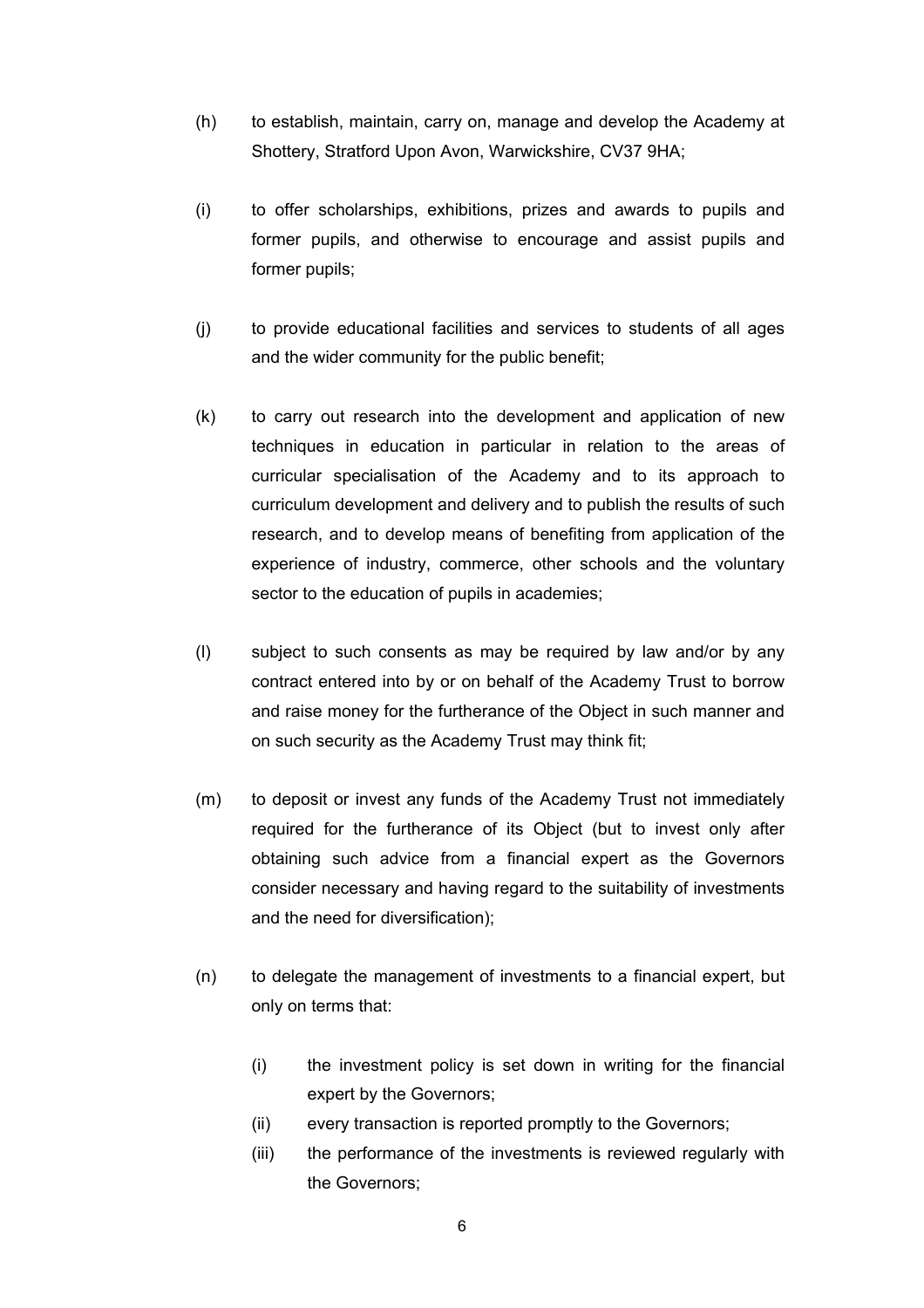- (h) to establish, maintain, carry on, manage and develop the Academy at Shottery, Stratford Upon Avon, Warwickshire, CV37 9HA;
- (i) to offer scholarships, exhibitions, prizes and awards to pupils and former pupils, and otherwise to encourage and assist pupils and former pupils;
- (j) to provide educational facilities and services to students of all ages and the wider community for the public benefit;
- (k) to carry out research into the development and application of new techniques in education in particular in relation to the areas of curricular specialisation of the Academy and to its approach to curriculum development and delivery and to publish the results of such research, and to develop means of benefiting from application of the experience of industry, commerce, other schools and the voluntary sector to the education of pupils in academies;
- (l) subject to such consents as may be required by law and/or by any contract entered into by or on behalf of the Academy Trust to borrow and raise money for the furtherance of the Object in such manner and on such security as the Academy Trust may think fit;
- (m) to deposit or invest any funds of the Academy Trust not immediately required for the furtherance of its Object (but to invest only after obtaining such advice from a financial expert as the Governors consider necessary and having regard to the suitability of investments and the need for diversification);
- (n) to delegate the management of investments to a financial expert, but only on terms that:
	- (i) the investment policy is set down in writing for the financial expert by the Governors;
	- (ii) every transaction is reported promptly to the Governors;
	- (iii) the performance of the investments is reviewed regularly with the Governors;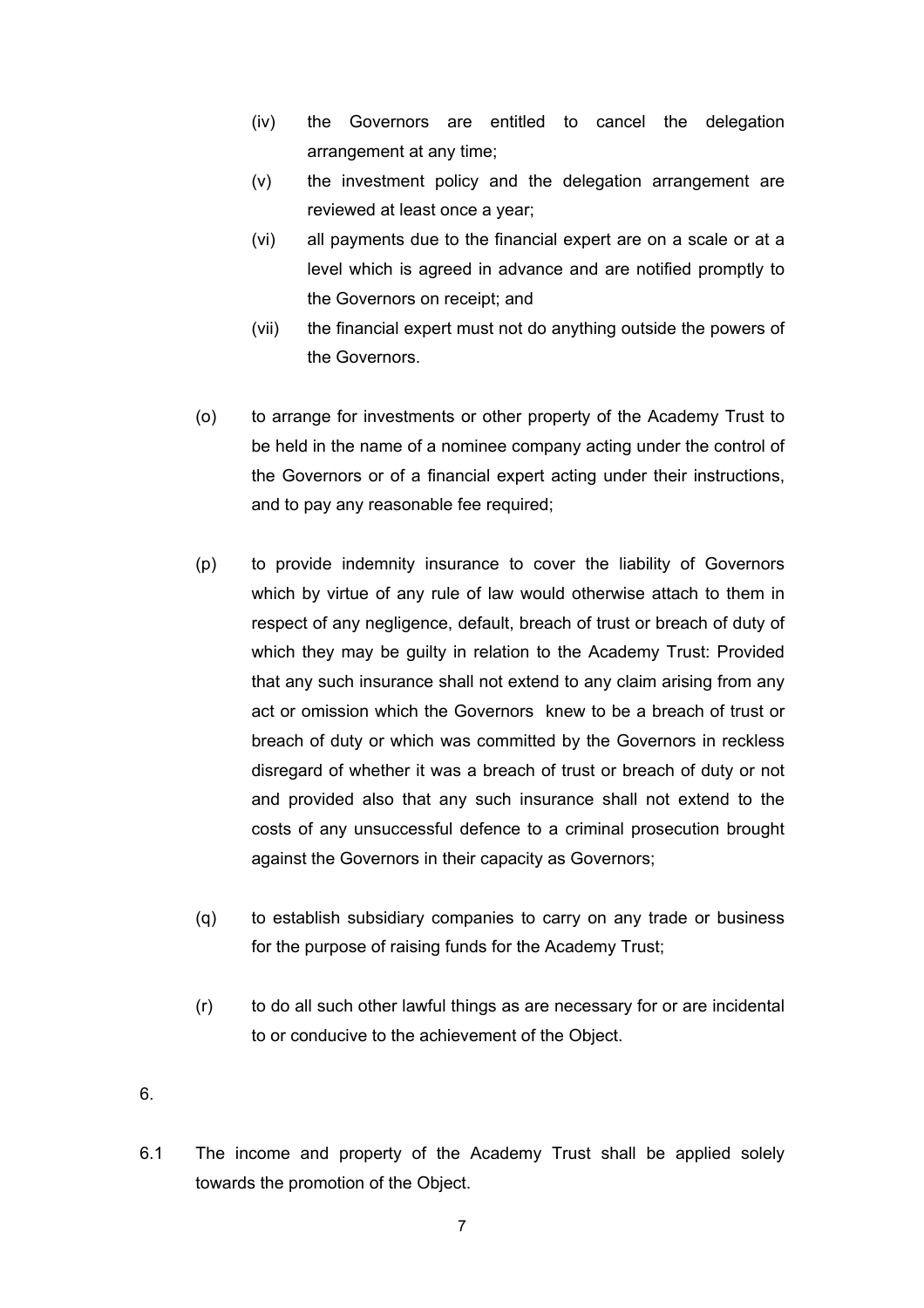- (iv) the Governors are entitled to cancel the delegation arrangement at any time;
- (v) the investment policy and the delegation arrangement are reviewed at least once a year;
- (vi) all payments due to the financial expert are on a scale or at a level which is agreed in advance and are notified promptly to the Governors on receipt; and
- (vii) the financial expert must not do anything outside the powers of the Governors.
- (o) to arrange for investments or other property of the Academy Trust to be held in the name of a nominee company acting under the control of the Governors or of a financial expert acting under their instructions, and to pay any reasonable fee required;
- (p) to provide indemnity insurance to cover the liability of Governors which by virtue of any rule of law would otherwise attach to them in respect of any negligence, default, breach of trust or breach of duty of which they may be guilty in relation to the Academy Trust: Provided that any such insurance shall not extend to any claim arising from any act or omission which the Governors knew to be a breach of trust or breach of duty or which was committed by the Governors in reckless disregard of whether it was a breach of trust or breach of duty or not and provided also that any such insurance shall not extend to the costs of any unsuccessful defence to a criminal prosecution brought against the Governors in their capacity as Governors;
- (q) to establish subsidiary companies to carry on any trade or business for the purpose of raising funds for the Academy Trust;
- (r) to do all such other lawful things as are necessary for or are incidental to or conducive to the achievement of the Object.

6.

6.1 The income and property of the Academy Trust shall be applied solely towards the promotion of the Object.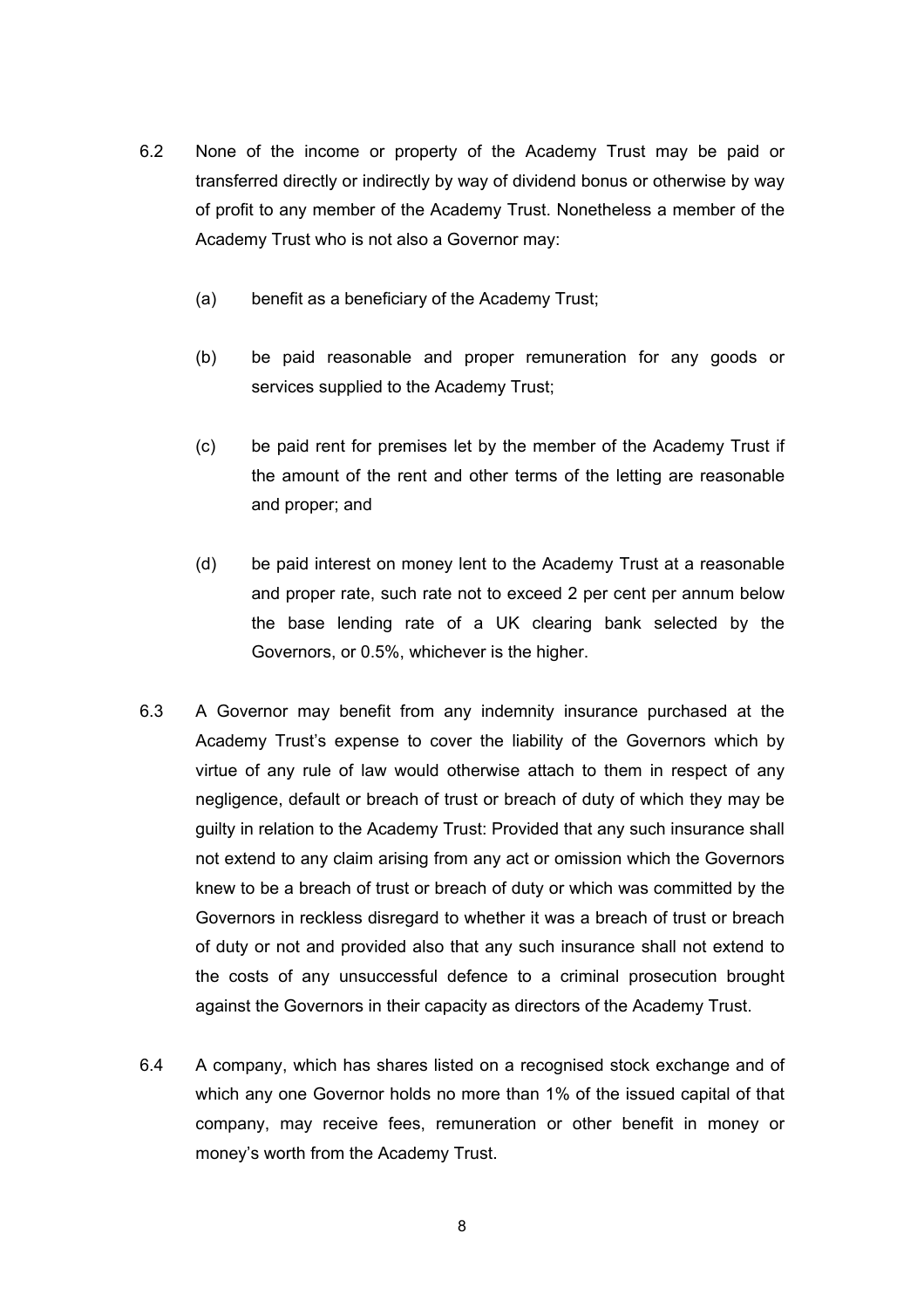- 6.2 None of the income or property of the Academy Trust may be paid or transferred directly or indirectly by way of dividend bonus or otherwise by way of profit to any member of the Academy Trust. Nonetheless a member of the Academy Trust who is not also a Governor may:
	- (a) benefit as a beneficiary of the Academy Trust;
	- (b) be paid reasonable and proper remuneration for any goods or services supplied to the Academy Trust;
	- (c) be paid rent for premises let by the member of the Academy Trust if the amount of the rent and other terms of the letting are reasonable and proper; and
	- (d) be paid interest on money lent to the Academy Trust at a reasonable and proper rate, such rate not to exceed 2 per cent per annum below the base lending rate of a UK clearing bank selected by the Governors, or 0.5%, whichever is the higher.
- 6.3 A Governor may benefit from any indemnity insurance purchased at the Academy Trust's expense to cover the liability of the Governors which by virtue of any rule of law would otherwise attach to them in respect of any negligence, default or breach of trust or breach of duty of which they may be guilty in relation to the Academy Trust: Provided that any such insurance shall not extend to any claim arising from any act or omission which the Governors knew to be a breach of trust or breach of duty or which was committed by the Governors in reckless disregard to whether it was a breach of trust or breach of duty or not and provided also that any such insurance shall not extend to the costs of any unsuccessful defence to a criminal prosecution brought against the Governors in their capacity as directors of the Academy Trust.
- 6.4 A company, which has shares listed on a recognised stock exchange and of which any one Governor holds no more than 1% of the issued capital of that company, may receive fees, remuneration or other benefit in money or money's worth from the Academy Trust.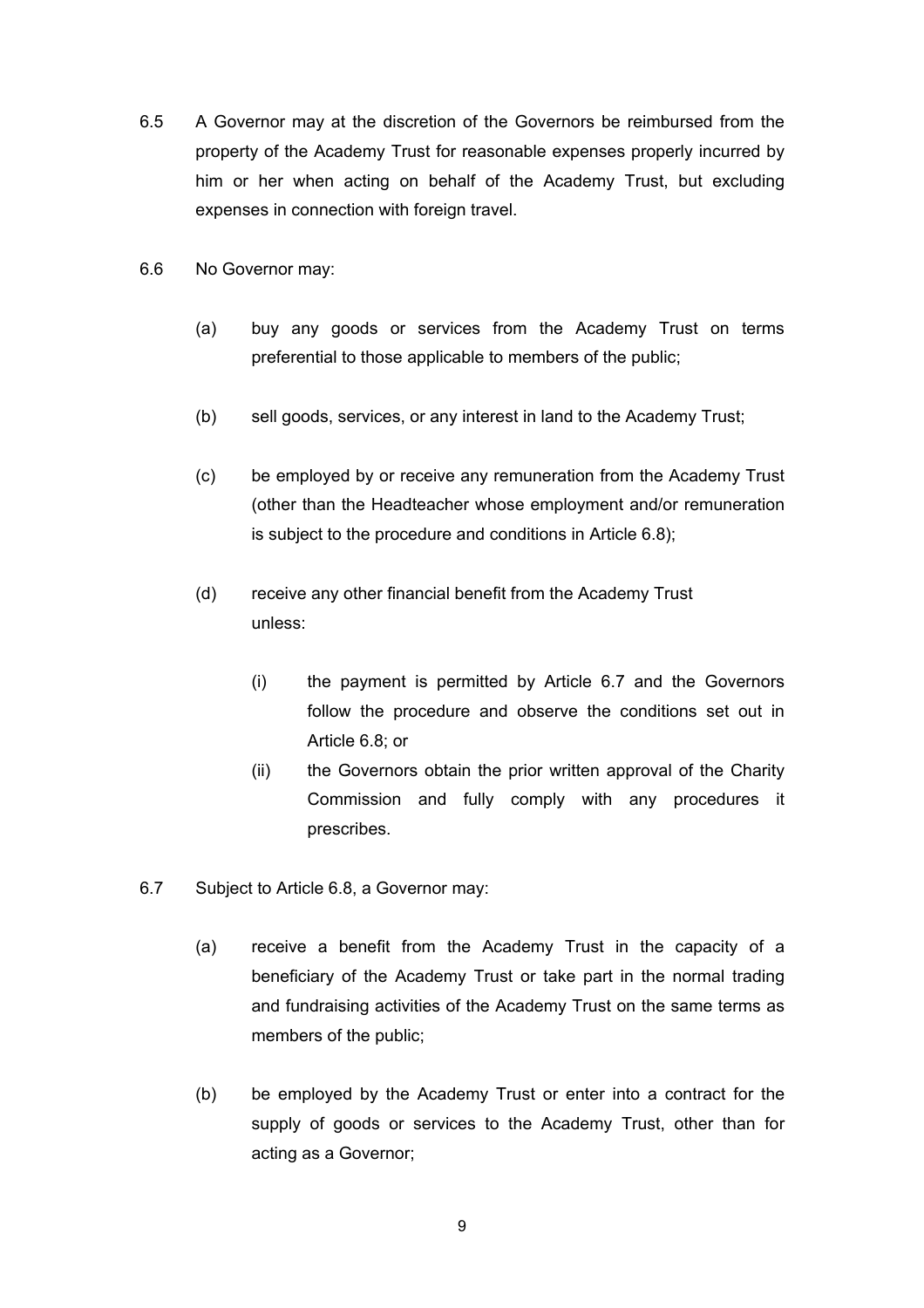- 6.5 A Governor may at the discretion of the Governors be reimbursed from the property of the Academy Trust for reasonable expenses properly incurred by him or her when acting on behalf of the Academy Trust, but excluding expenses in connection with foreign travel.
- 6.6 No Governor may:
	- (a) buy any goods or services from the Academy Trust on terms preferential to those applicable to members of the public;
	- (b) sell goods, services, or any interest in land to the Academy Trust;
	- (c) be employed by or receive any remuneration from the Academy Trust (other than the Headteacher whose employment and/or remuneration is subject to the procedure and conditions in Article 6.8);
	- (d) receive any other financial benefit from the Academy Trust unless:
		- (i) the payment is permitted by Article 6.7 and the Governors follow the procedure and observe the conditions set out in Article 6.8; or
		- (ii) the Governors obtain the prior written approval of the Charity Commission and fully comply with any procedures it prescribes.
- 6.7 Subject to Article 6.8, a Governor may:
	- (a) receive a benefit from the Academy Trust in the capacity of a beneficiary of the Academy Trust or take part in the normal trading and fundraising activities of the Academy Trust on the same terms as members of the public;
	- (b) be employed by the Academy Trust or enter into a contract for the supply of goods or services to the Academy Trust, other than for acting as a Governor;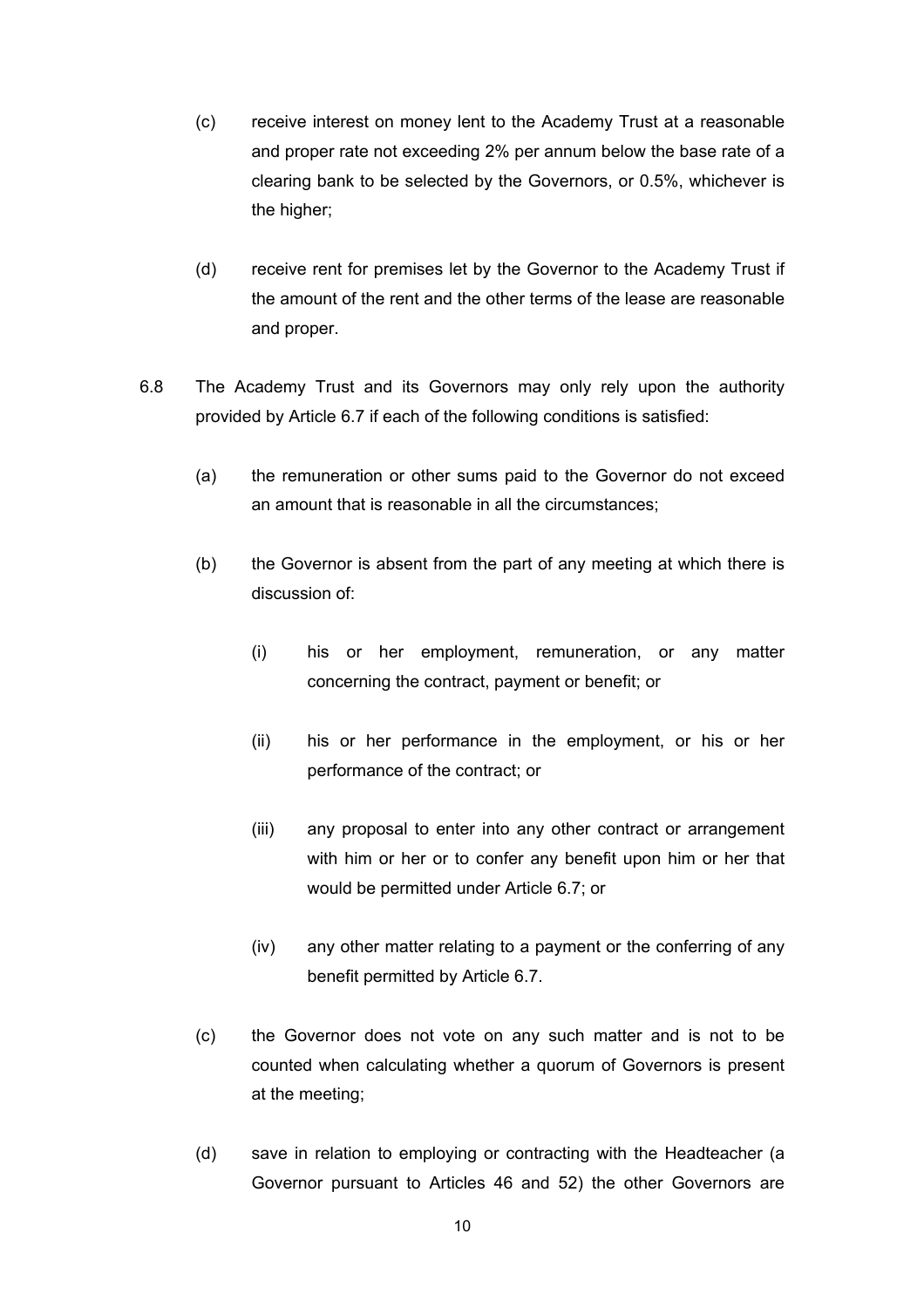- (c) receive interest on money lent to the Academy Trust at a reasonable and proper rate not exceeding 2% per annum below the base rate of a clearing bank to be selected by the Governors, or 0.5%, whichever is the higher;
- (d) receive rent for premises let by the Governor to the Academy Trust if the amount of the rent and the other terms of the lease are reasonable and proper.
- 6.8 The Academy Trust and its Governors may only rely upon the authority provided by Article 6.7 if each of the following conditions is satisfied:
	- (a) the remuneration or other sums paid to the Governor do not exceed an amount that is reasonable in all the circumstances;
	- (b) the Governor is absent from the part of any meeting at which there is discussion of:
		- (i) his or her employment, remuneration, or any matter concerning the contract, payment or benefit; or
		- (ii) his or her performance in the employment, or his or her performance of the contract; or
		- (iii) any proposal to enter into any other contract or arrangement with him or her or to confer any benefit upon him or her that would be permitted under Article 6.7; or
		- (iv) any other matter relating to a payment or the conferring of any benefit permitted by Article 6.7.
	- (c) the Governor does not vote on any such matter and is not to be counted when calculating whether a quorum of Governors is present at the meeting;
	- (d) save in relation to employing or contracting with the Headteacher (a Governor pursuant to Articles 46 and 52) the other Governors are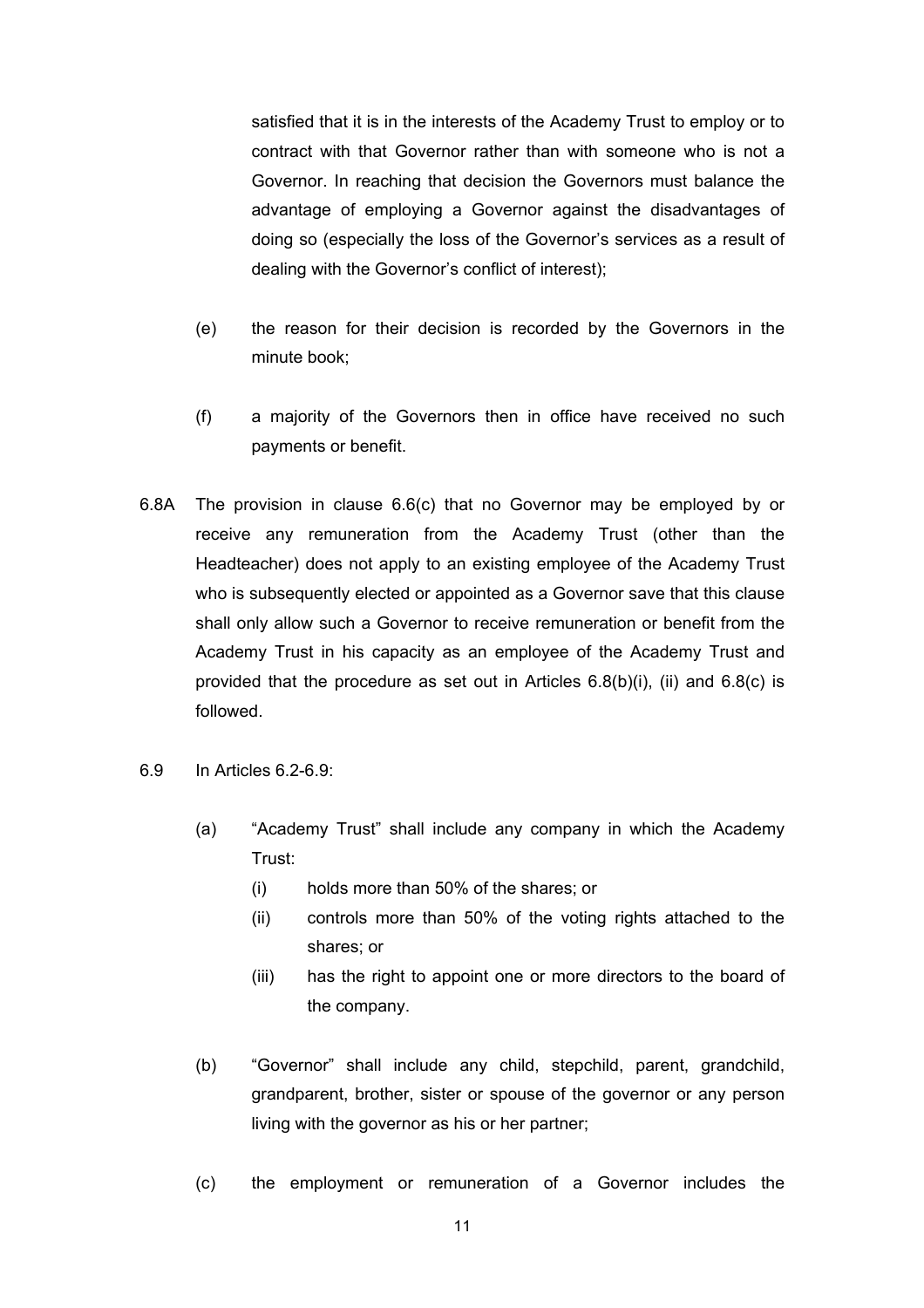satisfied that it is in the interests of the Academy Trust to employ or to contract with that Governor rather than with someone who is not a Governor. In reaching that decision the Governors must balance the advantage of employing a Governor against the disadvantages of doing so (especially the loss of the Governor's services as a result of dealing with the Governor's conflict of interest);

- (e) the reason for their decision is recorded by the Governors in the minute book;
- (f) a majority of the Governors then in office have received no such payments or benefit.
- 6.8A The provision in clause 6.6(c) that no Governor may be employed by or receive any remuneration from the Academy Trust (other than the Headteacher) does not apply to an existing employee of the Academy Trust who is subsequently elected or appointed as a Governor save that this clause shall only allow such a Governor to receive remuneration or benefit from the Academy Trust in his capacity as an employee of the Academy Trust and provided that the procedure as set out in Articles 6.8(b)(i), (ii) and 6.8(c) is followed.
- 6.9 In Articles 6.2-6.9:
	- (a) "Academy Trust" shall include any company in which the Academy Trust:
		- (i) holds more than 50% of the shares; or
		- (ii) controls more than 50% of the voting rights attached to the shares; or
		- (iii) has the right to appoint one or more directors to the board of the company.
	- (b) "Governor" shall include any child, stepchild, parent, grandchild, grandparent, brother, sister or spouse of the governor or any person living with the governor as his or her partner;
	- (c) the employment or remuneration of a Governor includes the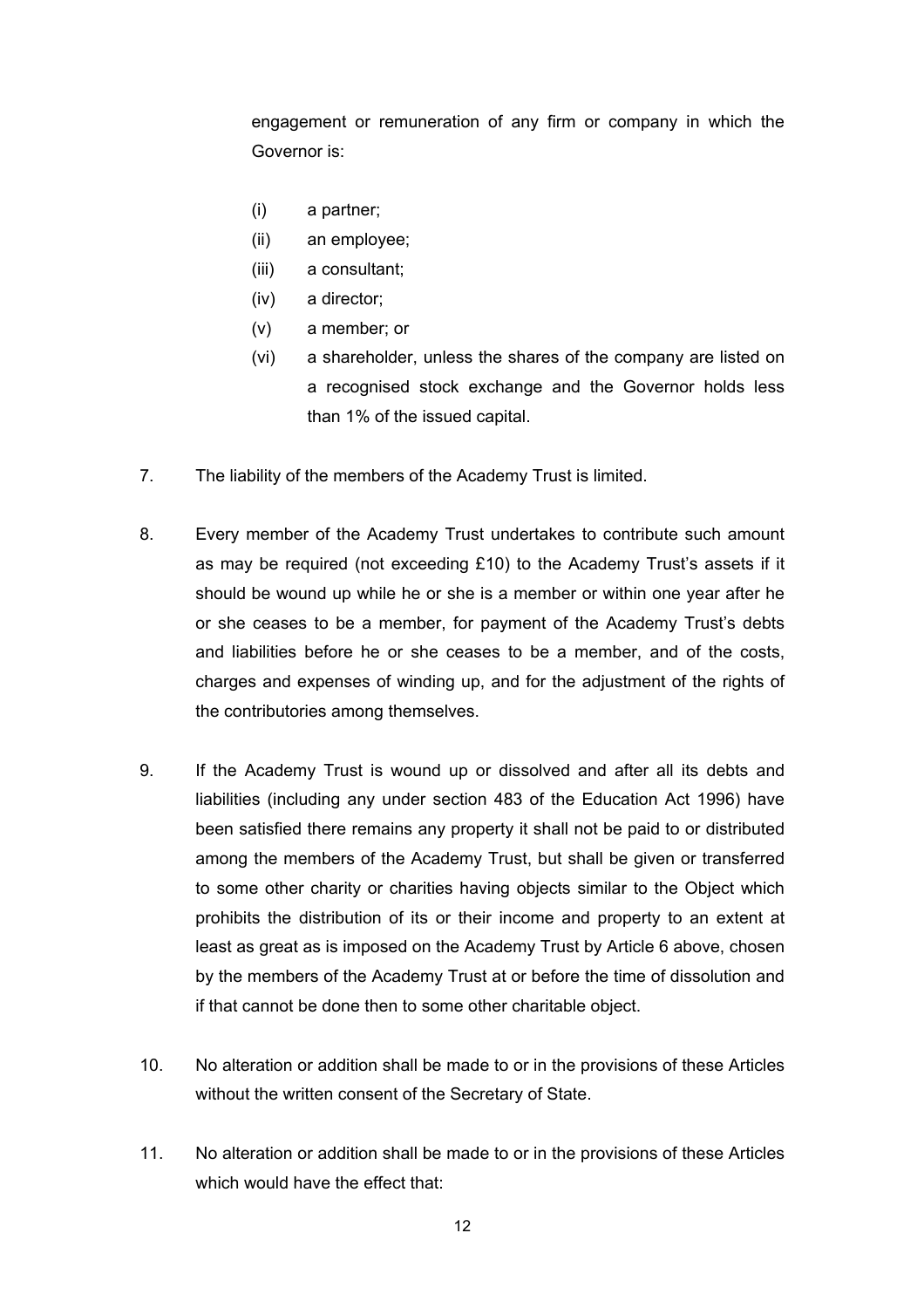engagement or remuneration of any firm or company in which the Governor is:

- (i) a partner;
- (ii) an employee;
- (iii) a consultant;
- (iv) a director;
- (v) a member; or
- (vi) a shareholder, unless the shares of the company are listed on a recognised stock exchange and the Governor holds less than 1% of the issued capital.
- 7. The liability of the members of the Academy Trust is limited.
- 8. Every member of the Academy Trust undertakes to contribute such amount as may be required (not exceeding £10) to the Academy Trust's assets if it should be wound up while he or she is a member or within one year after he or she ceases to be a member, for payment of the Academy Trust's debts and liabilities before he or she ceases to be a member, and of the costs, charges and expenses of winding up, and for the adjustment of the rights of the contributories among themselves.
- 9. If the Academy Trust is wound up or dissolved and after all its debts and liabilities (including any under section 483 of the Education Act 1996) have been satisfied there remains any property it shall not be paid to or distributed among the members of the Academy Trust, but shall be given or transferred to some other charity or charities having objects similar to the Object which prohibits the distribution of its or their income and property to an extent at least as great as is imposed on the Academy Trust by Article 6 above, chosen by the members of the Academy Trust at or before the time of dissolution and if that cannot be done then to some other charitable object.
- 10. No alteration or addition shall be made to or in the provisions of these Articles without the written consent of the Secretary of State.
- 11. No alteration or addition shall be made to or in the provisions of these Articles which would have the effect that: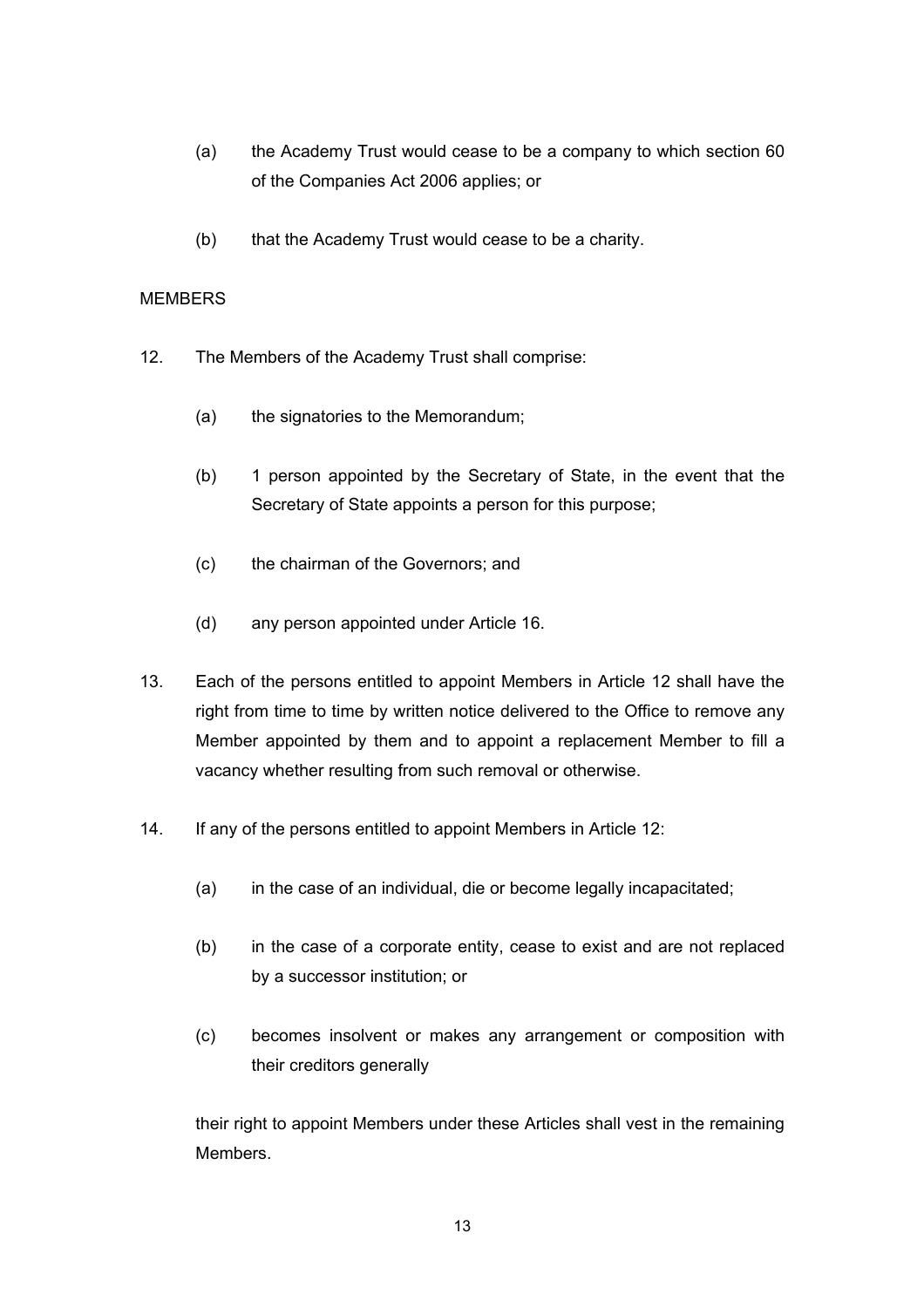- (a) the Academy Trust would cease to be a company to which section 60 of the Companies Act 2006 applies; or
- (b) that the Academy Trust would cease to be a charity.

## MEMBERS

- 12. The Members of the Academy Trust shall comprise:
	- (a) the signatories to the Memorandum;
	- (b) 1 person appointed by the Secretary of State, in the event that the Secretary of State appoints a person for this purpose;
	- (c) the chairman of the Governors; and
	- (d) any person appointed under Article 16.
- 13. Each of the persons entitled to appoint Members in Article 12 shall have the right from time to time by written notice delivered to the Office to remove any Member appointed by them and to appoint a replacement Member to fill a vacancy whether resulting from such removal or otherwise.
- 14. If any of the persons entitled to appoint Members in Article 12:
	- (a) in the case of an individual, die or become legally incapacitated;
	- (b) in the case of a corporate entity, cease to exist and are not replaced by a successor institution; or
	- (c) becomes insolvent or makes any arrangement or composition with their creditors generally

their right to appoint Members under these Articles shall vest in the remaining Members.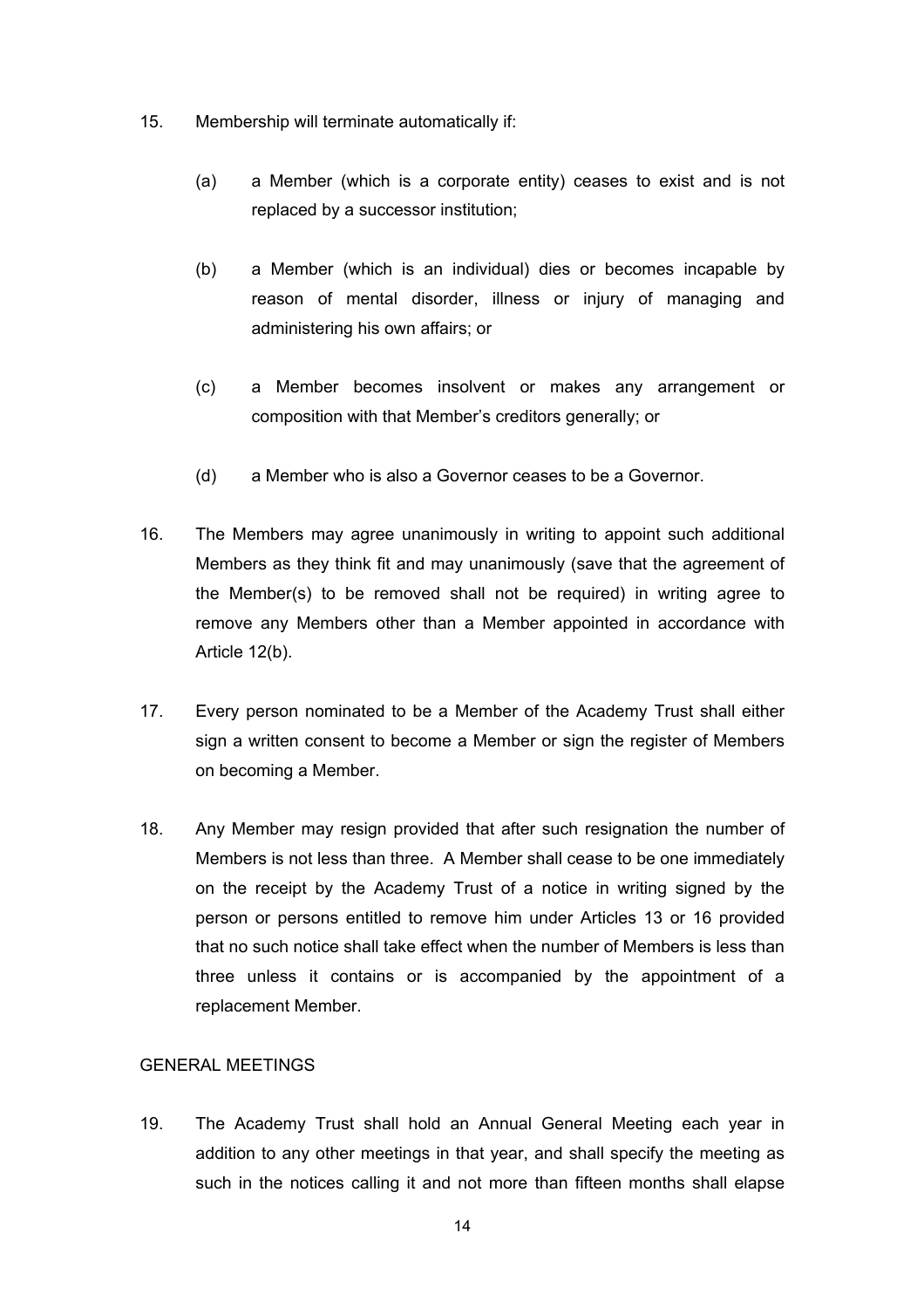- 15. Membership will terminate automatically if:
	- (a) a Member (which is a corporate entity) ceases to exist and is not replaced by a successor institution;
	- (b) a Member (which is an individual) dies or becomes incapable by reason of mental disorder, illness or injury of managing and administering his own affairs; or
	- (c) a Member becomes insolvent or makes any arrangement or composition with that Member's creditors generally; or
	- (d) a Member who is also a Governor ceases to be a Governor.
- 16. The Members may agree unanimously in writing to appoint such additional Members as they think fit and may unanimously (save that the agreement of the Member(s) to be removed shall not be required) in writing agree to remove any Members other than a Member appointed in accordance with Article 12(b).
- 17. Every person nominated to be a Member of the Academy Trust shall either sign a written consent to become a Member or sign the register of Members on becoming a Member.
- 18. Any Member may resign provided that after such resignation the number of Members is not less than three. A Member shall cease to be one immediately on the receipt by the Academy Trust of a notice in writing signed by the person or persons entitled to remove him under Articles 13 or 16 provided that no such notice shall take effect when the number of Members is less than three unless it contains or is accompanied by the appointment of a replacement Member.

## GENERAL MEETINGS

19. The Academy Trust shall hold an Annual General Meeting each year in addition to any other meetings in that year, and shall specify the meeting as such in the notices calling it and not more than fifteen months shall elapse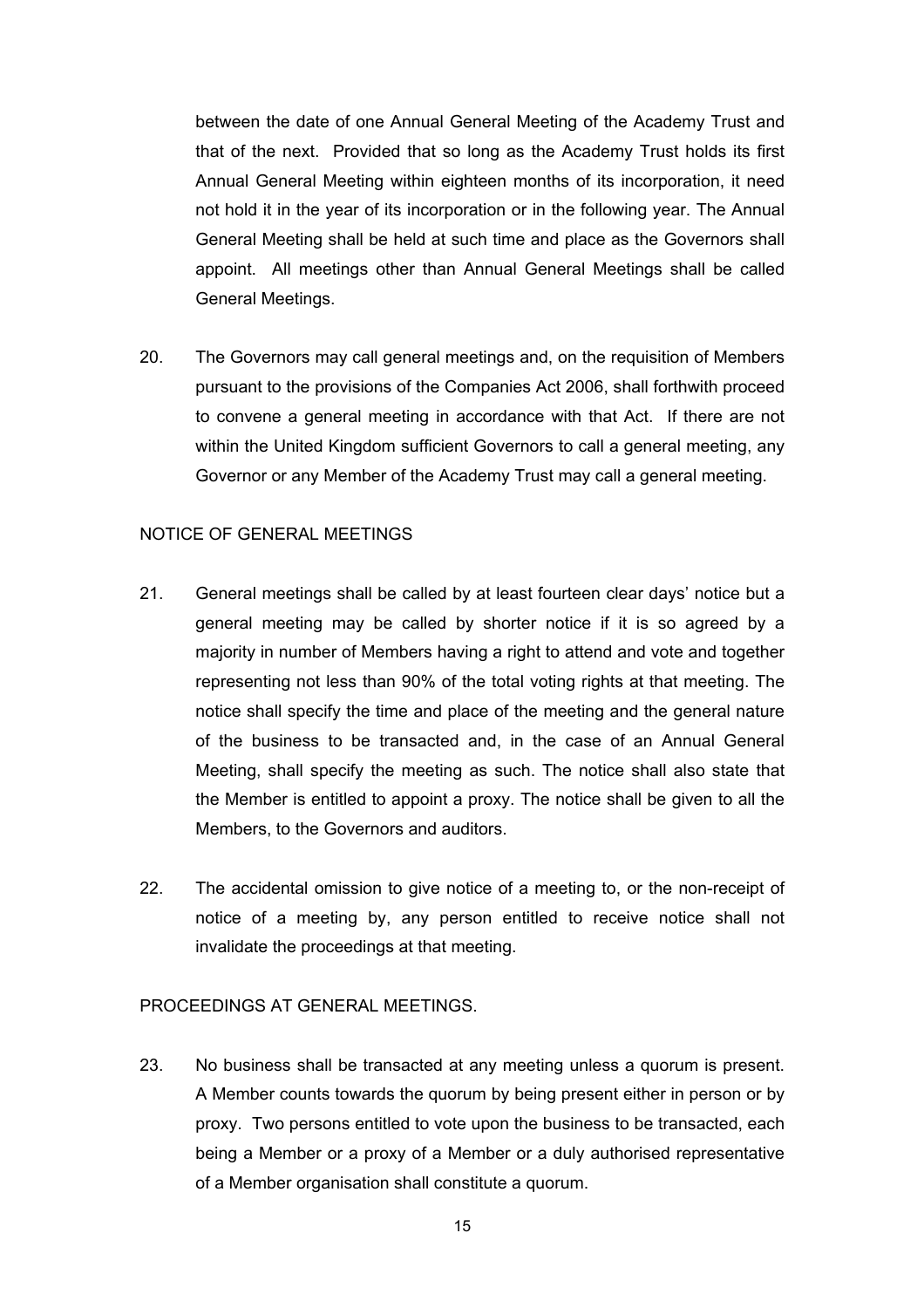between the date of one Annual General Meeting of the Academy Trust and that of the next. Provided that so long as the Academy Trust holds its first Annual General Meeting within eighteen months of its incorporation, it need not hold it in the year of its incorporation or in the following year. The Annual General Meeting shall be held at such time and place as the Governors shall appoint. All meetings other than Annual General Meetings shall be called General Meetings.

20. The Governors may call general meetings and, on the requisition of Members pursuant to the provisions of the Companies Act 2006, shall forthwith proceed to convene a general meeting in accordance with that Act. If there are not within the United Kingdom sufficient Governors to call a general meeting, any Governor or any Member of the Academy Trust may call a general meeting.

#### NOTICE OF GENERAL MEETINGS

- 21. General meetings shall be called by at least fourteen clear days' notice but a general meeting may be called by shorter notice if it is so agreed by a majority in number of Members having a right to attend and vote and together representing not less than 90% of the total voting rights at that meeting. The notice shall specify the time and place of the meeting and the general nature of the business to be transacted and, in the case of an Annual General Meeting, shall specify the meeting as such. The notice shall also state that the Member is entitled to appoint a proxy. The notice shall be given to all the Members, to the Governors and auditors.
- 22. The accidental omission to give notice of a meeting to, or the non-receipt of notice of a meeting by, any person entitled to receive notice shall not invalidate the proceedings at that meeting.

#### PROCEEDINGS AT GENERAL MEETINGS.

23. No business shall be transacted at any meeting unless a quorum is present. A Member counts towards the quorum by being present either in person or by proxy. Two persons entitled to vote upon the business to be transacted, each being a Member or a proxy of a Member or a duly authorised representative of a Member organisation shall constitute a quorum.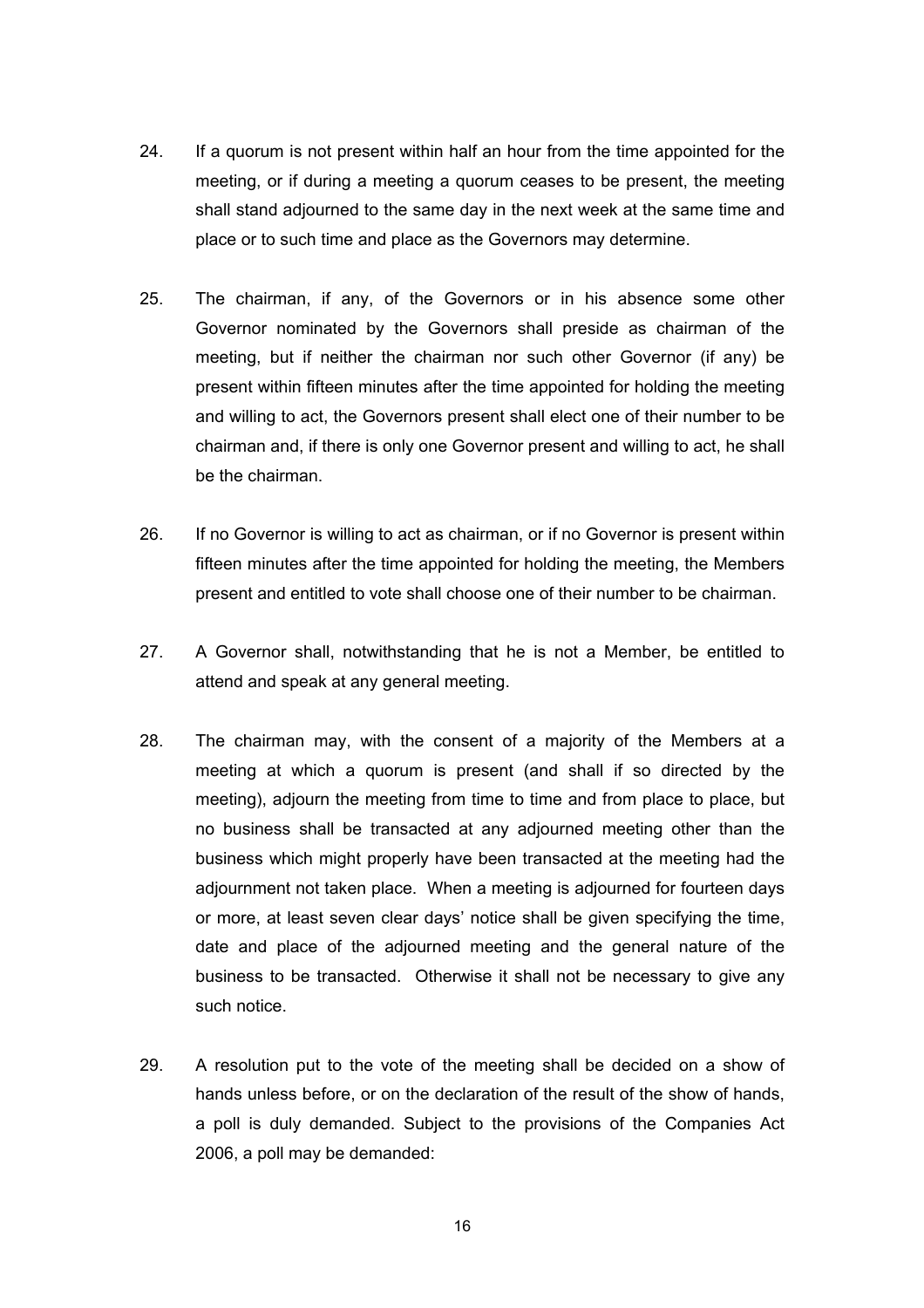- 24. If a quorum is not present within half an hour from the time appointed for the meeting, or if during a meeting a quorum ceases to be present, the meeting shall stand adjourned to the same day in the next week at the same time and place or to such time and place as the Governors may determine.
- 25. The chairman, if any, of the Governors or in his absence some other Governor nominated by the Governors shall preside as chairman of the meeting, but if neither the chairman nor such other Governor (if any) be present within fifteen minutes after the time appointed for holding the meeting and willing to act, the Governors present shall elect one of their number to be chairman and, if there is only one Governor present and willing to act, he shall be the chairman.
- 26. If no Governor is willing to act as chairman, or if no Governor is present within fifteen minutes after the time appointed for holding the meeting, the Members present and entitled to vote shall choose one of their number to be chairman.
- 27. A Governor shall, notwithstanding that he is not a Member, be entitled to attend and speak at any general meeting.
- 28. The chairman may, with the consent of a majority of the Members at a meeting at which a quorum is present (and shall if so directed by the meeting), adjourn the meeting from time to time and from place to place, but no business shall be transacted at any adjourned meeting other than the business which might properly have been transacted at the meeting had the adjournment not taken place. When a meeting is adjourned for fourteen days or more, at least seven clear days' notice shall be given specifying the time, date and place of the adjourned meeting and the general nature of the business to be transacted. Otherwise it shall not be necessary to give any such notice.
- 29. A resolution put to the vote of the meeting shall be decided on a show of hands unless before, or on the declaration of the result of the show of hands, a poll is duly demanded. Subject to the provisions of the Companies Act 2006, a poll may be demanded: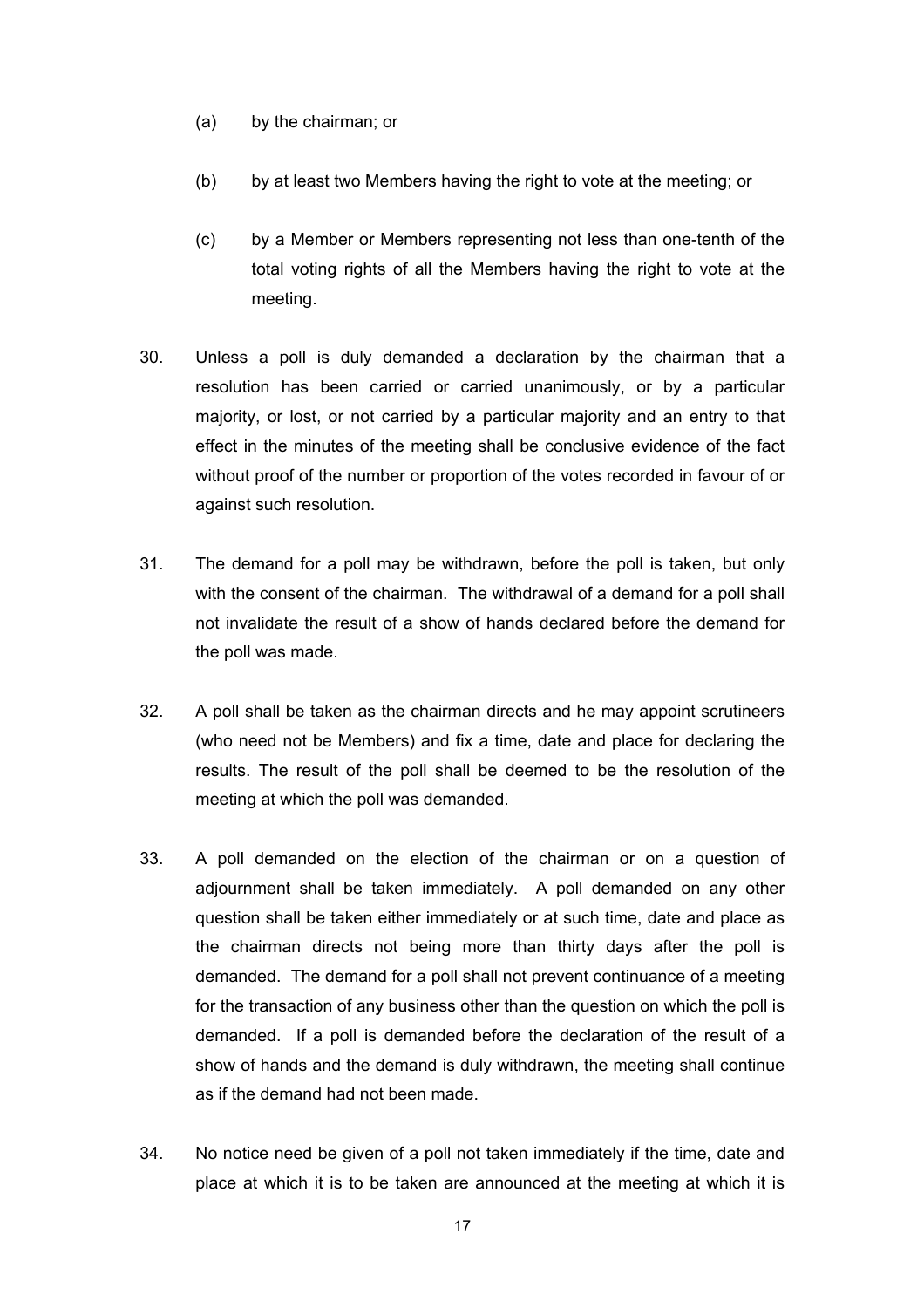- (a) by the chairman; or
- (b) by at least two Members having the right to vote at the meeting; or
- (c) by a Member or Members representing not less than one-tenth of the total voting rights of all the Members having the right to vote at the meeting.
- 30. Unless a poll is duly demanded a declaration by the chairman that a resolution has been carried or carried unanimously, or by a particular majority, or lost, or not carried by a particular majority and an entry to that effect in the minutes of the meeting shall be conclusive evidence of the fact without proof of the number or proportion of the votes recorded in favour of or against such resolution.
- 31. The demand for a poll may be withdrawn, before the poll is taken, but only with the consent of the chairman. The withdrawal of a demand for a poll shall not invalidate the result of a show of hands declared before the demand for the poll was made.
- 32. A poll shall be taken as the chairman directs and he may appoint scrutineers (who need not be Members) and fix a time, date and place for declaring the results. The result of the poll shall be deemed to be the resolution of the meeting at which the poll was demanded.
- 33. A poll demanded on the election of the chairman or on a question of adjournment shall be taken immediately. A poll demanded on any other question shall be taken either immediately or at such time, date and place as the chairman directs not being more than thirty days after the poll is demanded. The demand for a poll shall not prevent continuance of a meeting for the transaction of any business other than the question on which the poll is demanded. If a poll is demanded before the declaration of the result of a show of hands and the demand is duly withdrawn, the meeting shall continue as if the demand had not been made.
- 34. No notice need be given of a poll not taken immediately if the time, date and place at which it is to be taken are announced at the meeting at which it is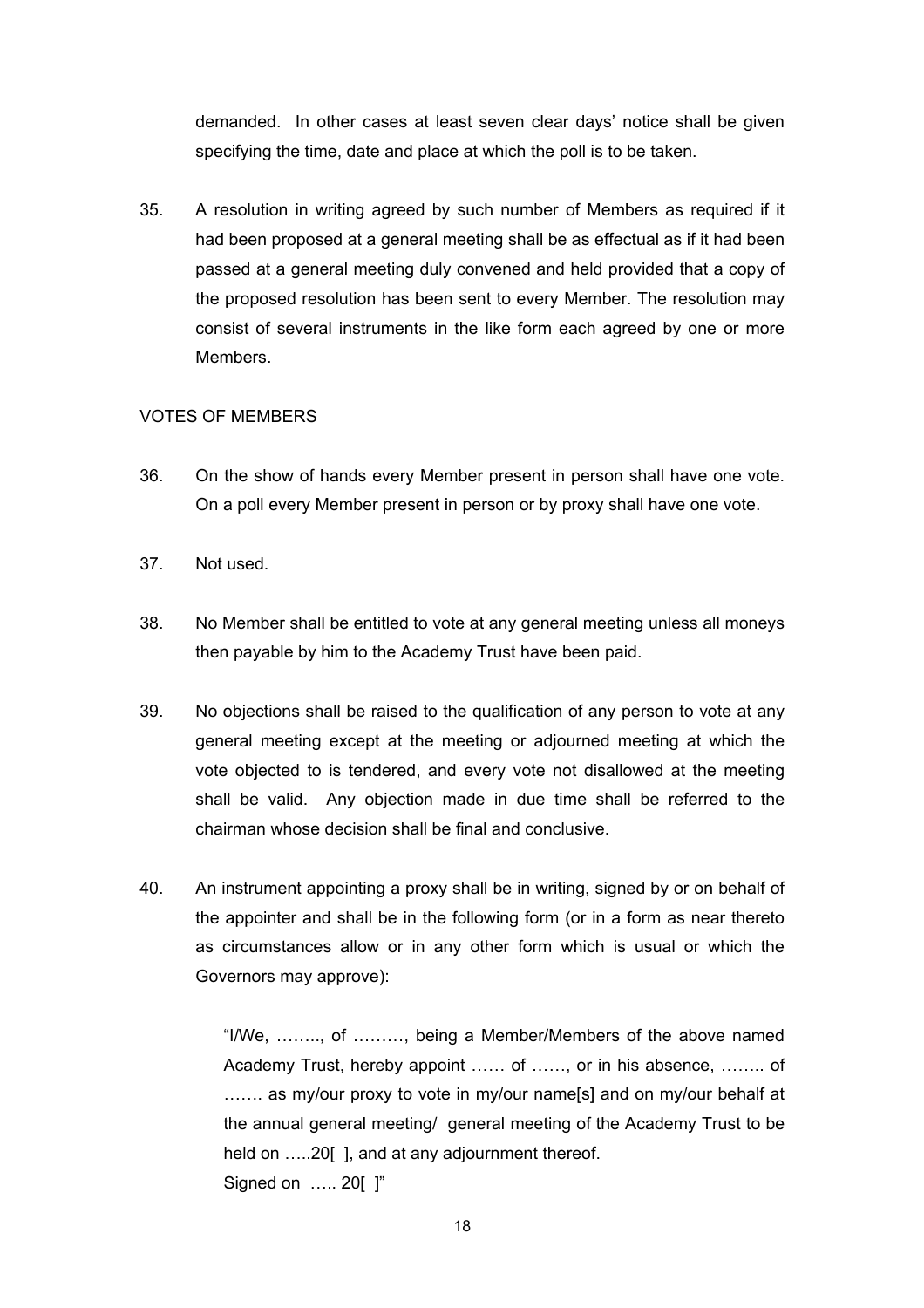demanded. In other cases at least seven clear days' notice shall be given specifying the time, date and place at which the poll is to be taken.

35. A resolution in writing agreed by such number of Members as required if it had been proposed at a general meeting shall be as effectual as if it had been passed at a general meeting duly convened and held provided that a copy of the proposed resolution has been sent to every Member. The resolution may consist of several instruments in the like form each agreed by one or more Members.

### VOTES OF MEMBERS

- 36. On the show of hands every Member present in person shall have one vote. On a poll every Member present in person or by proxy shall have one vote.
- 37. Not used.
- 38. No Member shall be entitled to vote at any general meeting unless all moneys then payable by him to the Academy Trust have been paid.
- 39. No objections shall be raised to the qualification of any person to vote at any general meeting except at the meeting or adjourned meeting at which the vote objected to is tendered, and every vote not disallowed at the meeting shall be valid. Any objection made in due time shall be referred to the chairman whose decision shall be final and conclusive.
- 40. An instrument appointing a proxy shall be in writing, signed by or on behalf of the appointer and shall be in the following form (or in a form as near thereto as circumstances allow or in any other form which is usual or which the Governors may approve):

"I/We, …….., of ………, being a Member/Members of the above named Academy Trust, hereby appoint …… of ……, or in his absence, …….. of ....... as my/our proxy to vote in my/our name[s] and on my/our behalf at the annual general meeting/ general meeting of the Academy Trust to be held on .....20[], and at any adjournment thereof. Signed on ….. 20[ ]"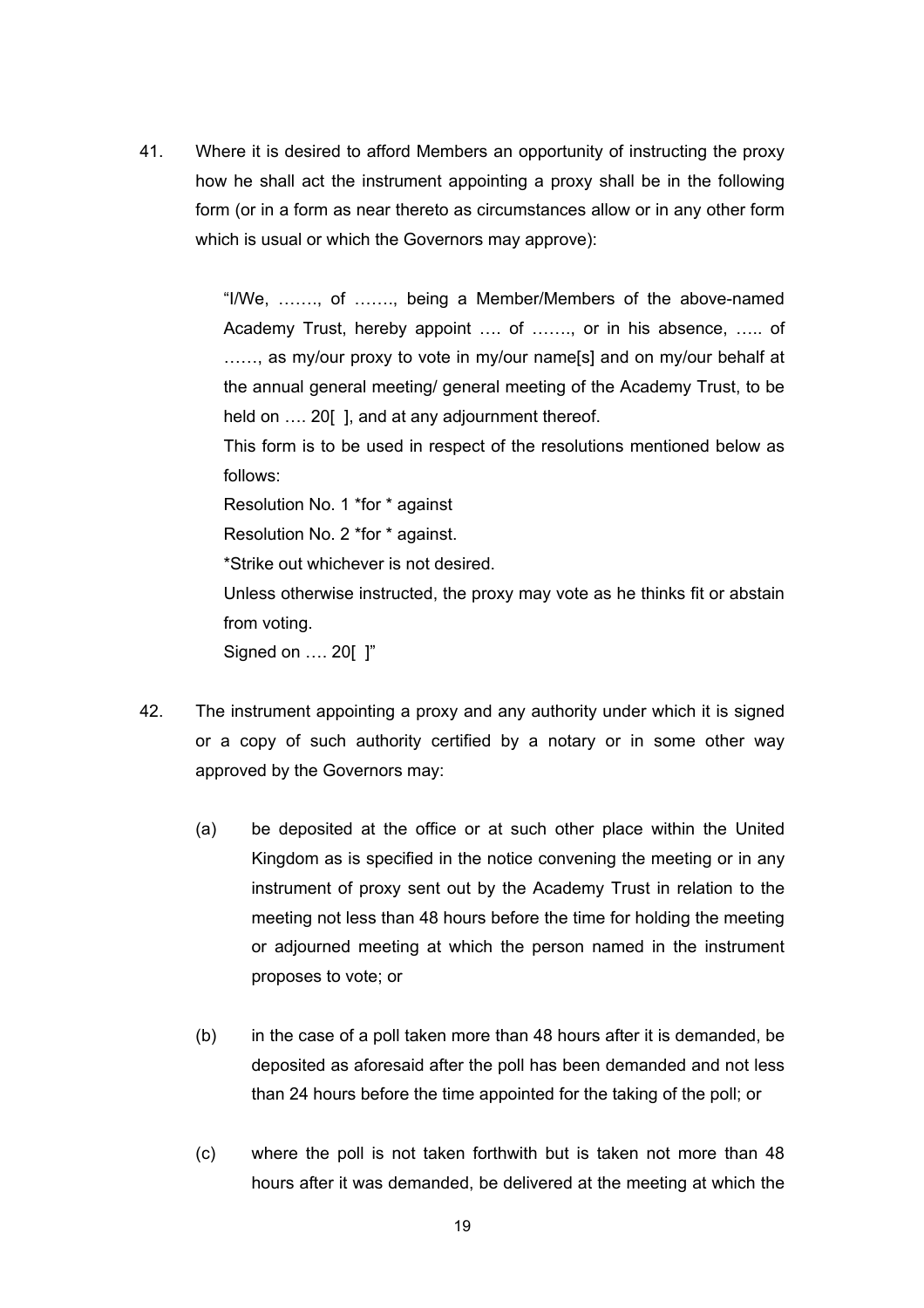41. Where it is desired to afford Members an opportunity of instructing the proxy how he shall act the instrument appointing a proxy shall be in the following form (or in a form as near thereto as circumstances allow or in any other form which is usual or which the Governors may approve):

> "I/We, ……., of ……., being a Member/Members of the above-named Academy Trust, hereby appoint …. of ……., or in his absence, ….. of ......, as my/our proxy to vote in my/our name[s] and on my/our behalf at the annual general meeting/ general meeting of the Academy Trust, to be held on .... 20[], and at any adjournment thereof.

> This form is to be used in respect of the resolutions mentioned below as follows:

Resolution No. 1 \*for \* against

Resolution No. 2 \*for \* against.

\*Strike out whichever is not desired.

Unless otherwise instructed, the proxy may vote as he thinks fit or abstain from voting.

Signed on …. 20[ ]"

- 42. The instrument appointing a proxy and any authority under which it is signed or a copy of such authority certified by a notary or in some other way approved by the Governors may:
	- (a) be deposited at the office or at such other place within the United Kingdom as is specified in the notice convening the meeting or in any instrument of proxy sent out by the Academy Trust in relation to the meeting not less than 48 hours before the time for holding the meeting or adjourned meeting at which the person named in the instrument proposes to vote; or
	- (b) in the case of a poll taken more than 48 hours after it is demanded, be deposited as aforesaid after the poll has been demanded and not less than 24 hours before the time appointed for the taking of the poll; or
	- (c) where the poll is not taken forthwith but is taken not more than 48 hours after it was demanded, be delivered at the meeting at which the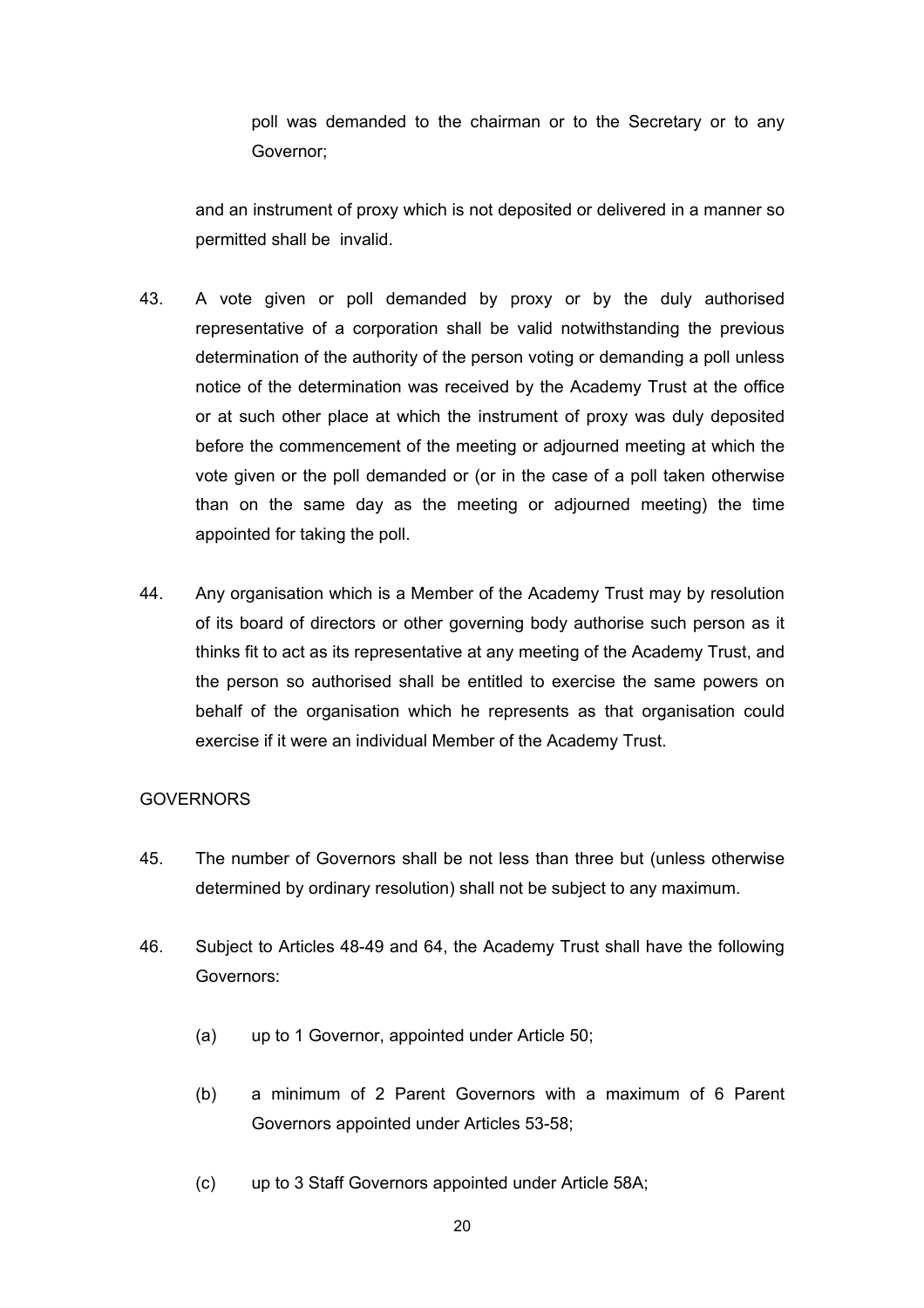poll was demanded to the chairman or to the Secretary or to any Governor;

and an instrument of proxy which is not deposited or delivered in a manner so permitted shall be invalid.

- 43. A vote given or poll demanded by proxy or by the duly authorised representative of a corporation shall be valid notwithstanding the previous determination of the authority of the person voting or demanding a poll unless notice of the determination was received by the Academy Trust at the office or at such other place at which the instrument of proxy was duly deposited before the commencement of the meeting or adjourned meeting at which the vote given or the poll demanded or (or in the case of a poll taken otherwise than on the same day as the meeting or adjourned meeting) the time appointed for taking the poll.
- 44. Any organisation which is a Member of the Academy Trust may by resolution of its board of directors or other governing body authorise such person as it thinks fit to act as its representative at any meeting of the Academy Trust, and the person so authorised shall be entitled to exercise the same powers on behalf of the organisation which he represents as that organisation could exercise if it were an individual Member of the Academy Trust.

#### **GOVERNORS**

- 45. The number of Governors shall be not less than three but (unless otherwise determined by ordinary resolution) shall not be subject to any maximum.
- 46. Subject to Articles 48-49 and 64, the Academy Trust shall have the following Governors:
	- (a) up to 1 Governor, appointed under Article 50;
	- (b) a minimum of 2 Parent Governors with a maximum of 6 Parent Governors appointed under Articles 53-58;
	- (c) up to 3 Staff Governors appointed under Article 58A;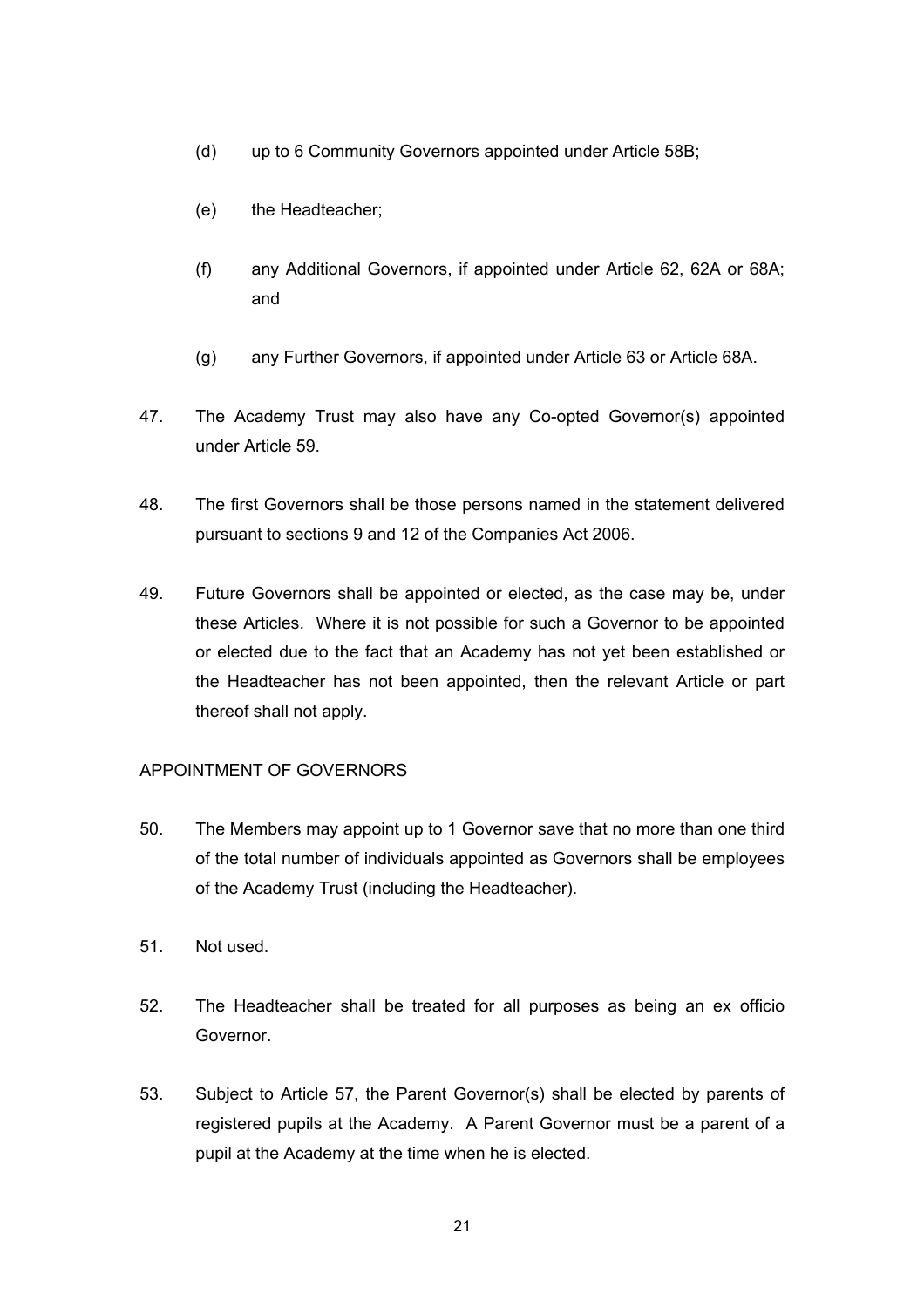- (d) up to 6 Community Governors appointed under Article 58B;
- (e) the Headteacher;
- (f) any Additional Governors, if appointed under Article 62, 62A or 68A; and
- (g) any Further Governors, if appointed under Article 63 or Article 68A.
- 47. The Academy Trust may also have any Co-opted Governor(s) appointed under Article 59.
- 48. The first Governors shall be those persons named in the statement delivered pursuant to sections 9 and 12 of the Companies Act 2006.
- 49. Future Governors shall be appointed or elected, as the case may be, under these Articles. Where it is not possible for such a Governor to be appointed or elected due to the fact that an Academy has not yet been established or the Headteacher has not been appointed, then the relevant Article or part thereof shall not apply.

## APPOINTMENT OF GOVERNORS

- 50. The Members may appoint up to 1 Governor save that no more than one third of the total number of individuals appointed as Governors shall be employees of the Academy Trust (including the Headteacher).
- 51. Not used.
- 52. The Headteacher shall be treated for all purposes as being an ex officio Governor.
- 53. Subject to Article 57, the Parent Governor(s) shall be elected by parents of registered pupils at the Academy. A Parent Governor must be a parent of a pupil at the Academy at the time when he is elected.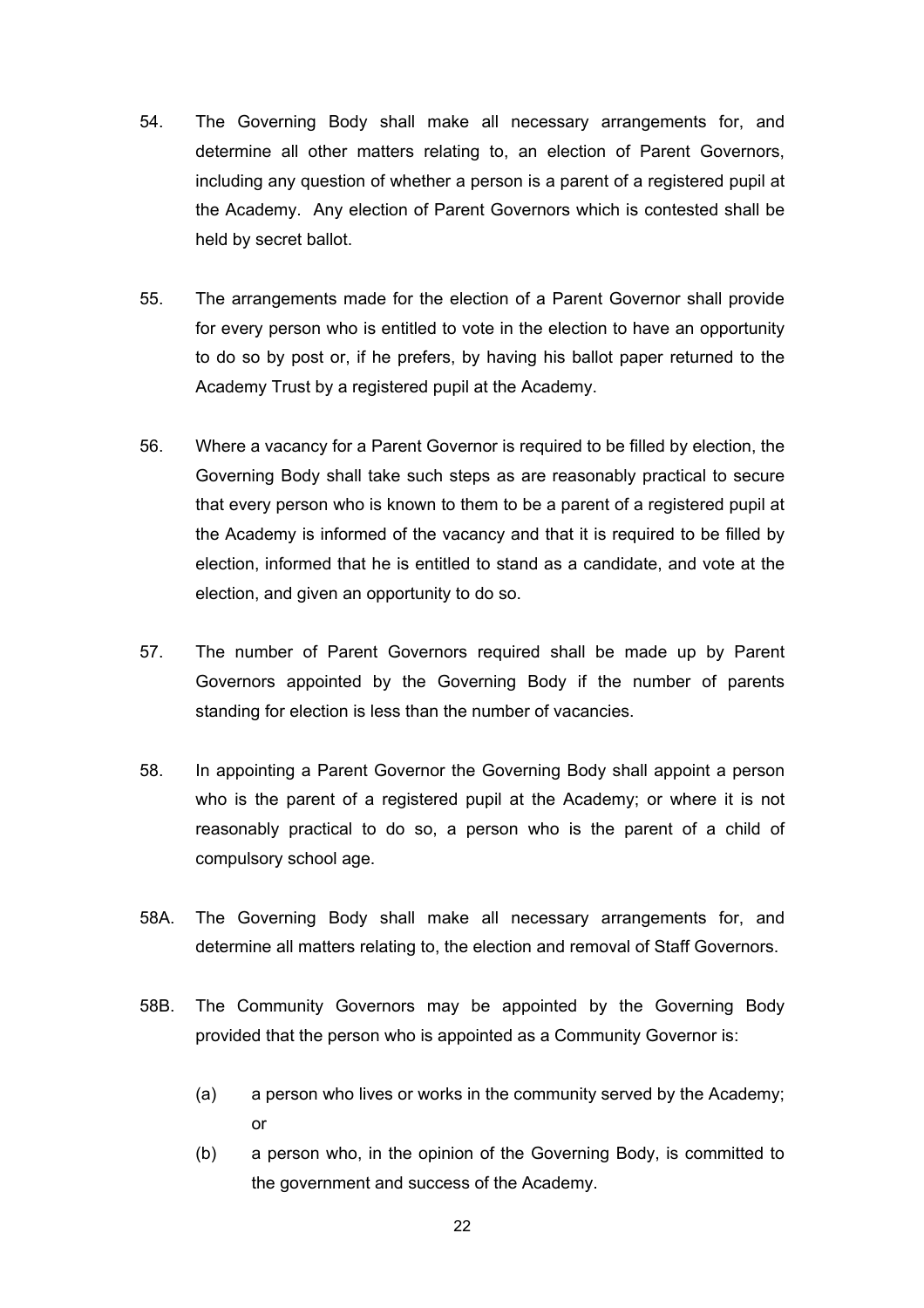- 54. The Governing Body shall make all necessary arrangements for, and determine all other matters relating to, an election of Parent Governors, including any question of whether a person is a parent of a registered pupil at the Academy. Any election of Parent Governors which is contested shall be held by secret ballot.
- 55. The arrangements made for the election of a Parent Governor shall provide for every person who is entitled to vote in the election to have an opportunity to do so by post or, if he prefers, by having his ballot paper returned to the Academy Trust by a registered pupil at the Academy.
- 56. Where a vacancy for a Parent Governor is required to be filled by election, the Governing Body shall take such steps as are reasonably practical to secure that every person who is known to them to be a parent of a registered pupil at the Academy is informed of the vacancy and that it is required to be filled by election, informed that he is entitled to stand as a candidate, and vote at the election, and given an opportunity to do so.
- 57. The number of Parent Governors required shall be made up by Parent Governors appointed by the Governing Body if the number of parents standing for election is less than the number of vacancies.
- 58. In appointing a Parent Governor the Governing Body shall appoint a person who is the parent of a registered pupil at the Academy; or where it is not reasonably practical to do so, a person who is the parent of a child of compulsory school age.
- 58A. The Governing Body shall make all necessary arrangements for, and determine all matters relating to, the election and removal of Staff Governors.
- 58B. The Community Governors may be appointed by the Governing Body provided that the person who is appointed as a Community Governor is:
	- (a) a person who lives or works in the community served by the Academy; or
	- (b) a person who, in the opinion of the Governing Body, is committed to the government and success of the Academy.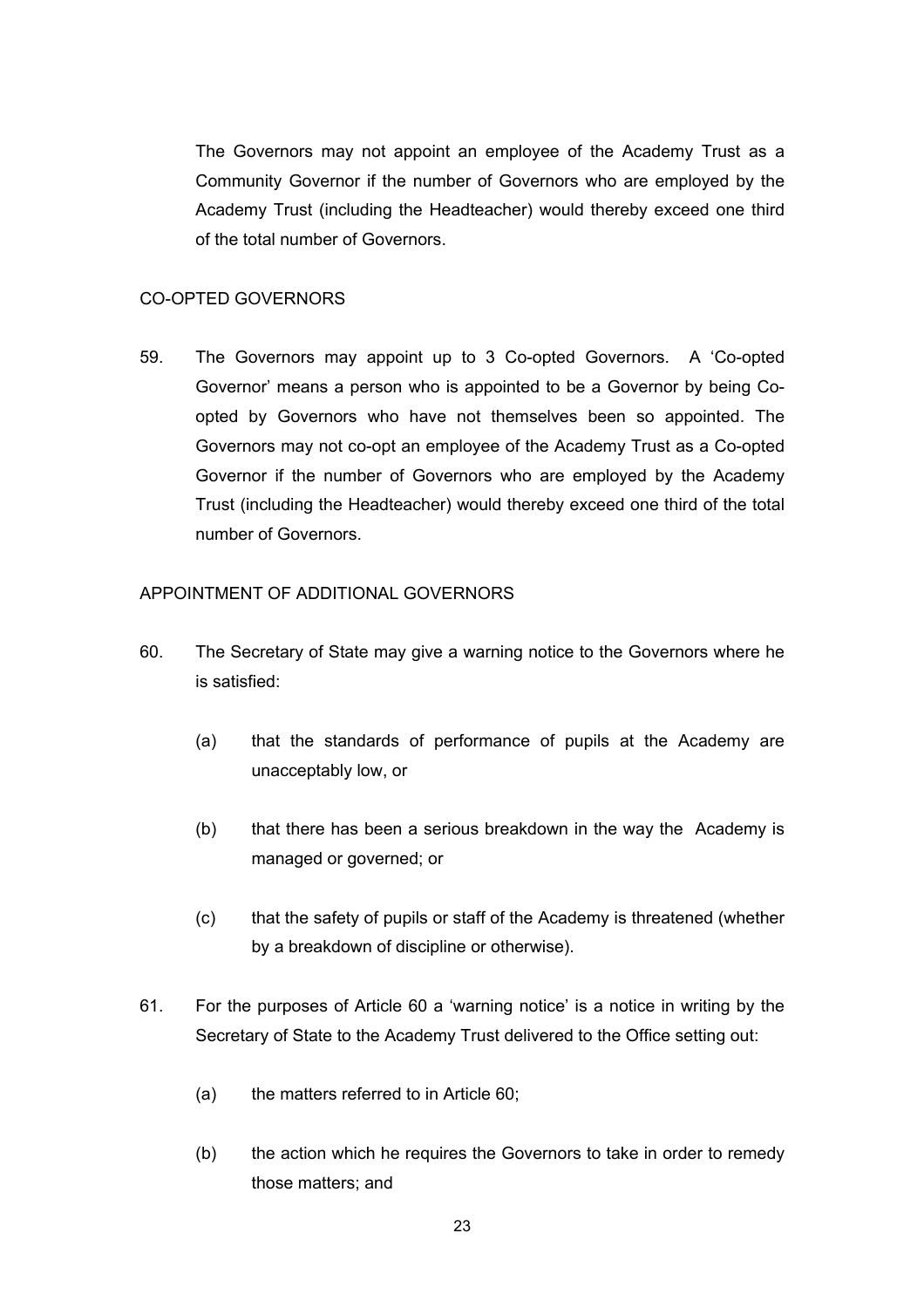The Governors may not appoint an employee of the Academy Trust as a Community Governor if the number of Governors who are employed by the Academy Trust (including the Headteacher) would thereby exceed one third of the total number of Governors.

#### CO-OPTED GOVERNORS

59. The Governors may appoint up to 3 Co-opted Governors. A 'Co-opted Governor' means a person who is appointed to be a Governor by being Coopted by Governors who have not themselves been so appointed. The Governors may not co-opt an employee of the Academy Trust as a Co-opted Governor if the number of Governors who are employed by the Academy Trust (including the Headteacher) would thereby exceed one third of the total number of Governors.

#### APPOINTMENT OF ADDITIONAL GOVERNORS

- 60. The Secretary of State may give a warning notice to the Governors where he is satisfied:
	- (a) that the standards of performance of pupils at the Academy are unacceptably low, or
	- (b) that there has been a serious breakdown in the way the Academy is managed or governed; or
	- (c) that the safety of pupils or staff of the Academy is threatened (whether by a breakdown of discipline or otherwise).
- 61. For the purposes of Article 60 a 'warning notice' is a notice in writing by the Secretary of State to the Academy Trust delivered to the Office setting out:
	- (a) the matters referred to in Article 60;
	- (b) the action which he requires the Governors to take in order to remedy those matters; and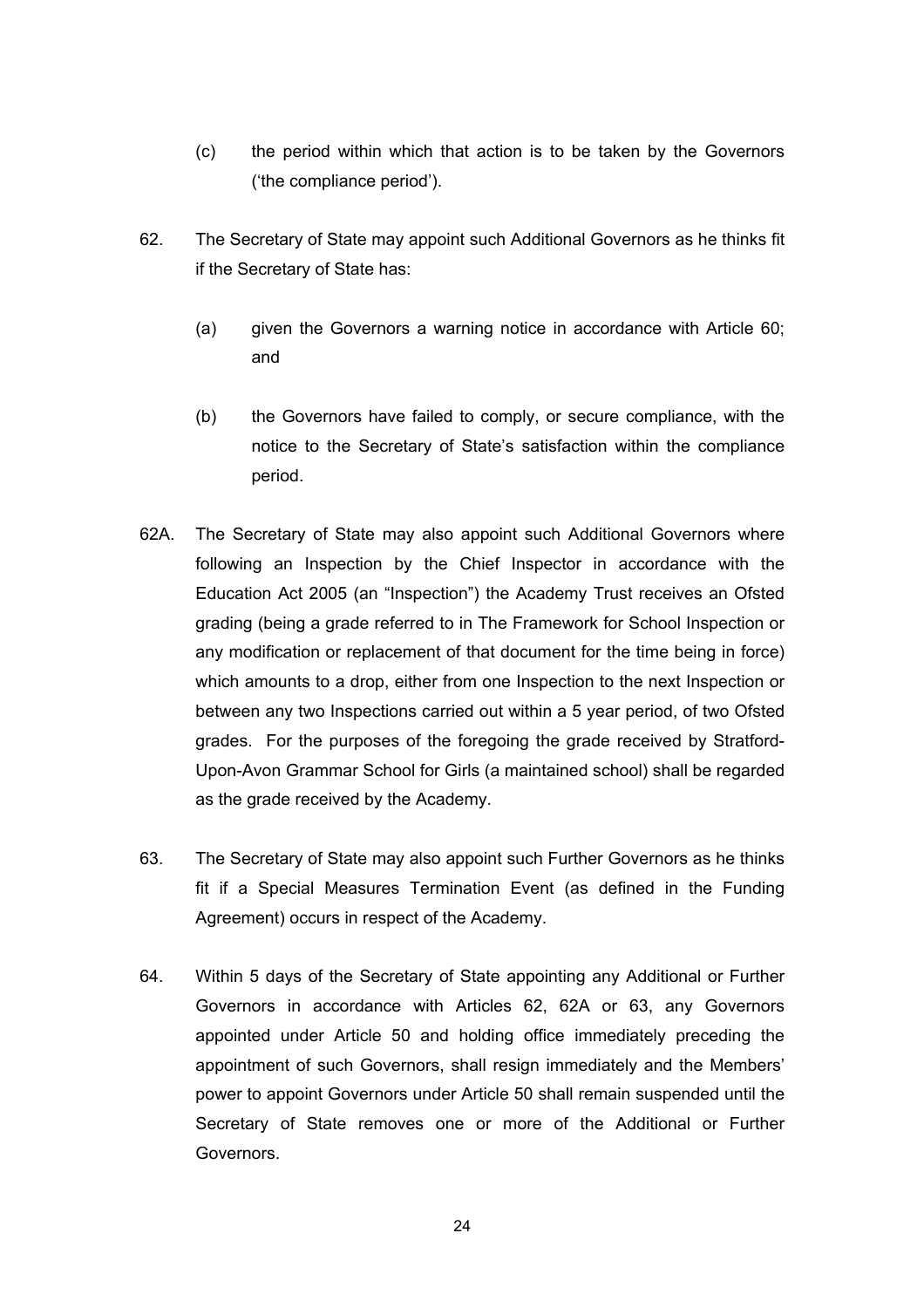- (c) the period within which that action is to be taken by the Governors ('the compliance period').
- 62. The Secretary of State may appoint such Additional Governors as he thinks fit if the Secretary of State has:
	- (a) given the Governors a warning notice in accordance with Article 60; and
	- (b) the Governors have failed to comply, or secure compliance, with the notice to the Secretary of State's satisfaction within the compliance period.
- 62A. The Secretary of State may also appoint such Additional Governors where following an Inspection by the Chief Inspector in accordance with the Education Act 2005 (an "Inspection") the Academy Trust receives an Ofsted grading (being a grade referred to in The Framework for School Inspection or any modification or replacement of that document for the time being in force) which amounts to a drop, either from one Inspection to the next Inspection or between any two Inspections carried out within a 5 year period, of two Ofsted grades. For the purposes of the foregoing the grade received by Stratford-Upon-Avon Grammar School for Girls (a maintained school) shall be regarded as the grade received by the Academy.
- 63. The Secretary of State may also appoint such Further Governors as he thinks fit if a Special Measures Termination Event (as defined in the Funding Agreement) occurs in respect of the Academy.
- 64. Within 5 days of the Secretary of State appointing any Additional or Further Governors in accordance with Articles 62, 62A or 63, any Governors appointed under Article 50 and holding office immediately preceding the appointment of such Governors, shall resign immediately and the Members' power to appoint Governors under Article 50 shall remain suspended until the Secretary of State removes one or more of the Additional or Further Governors.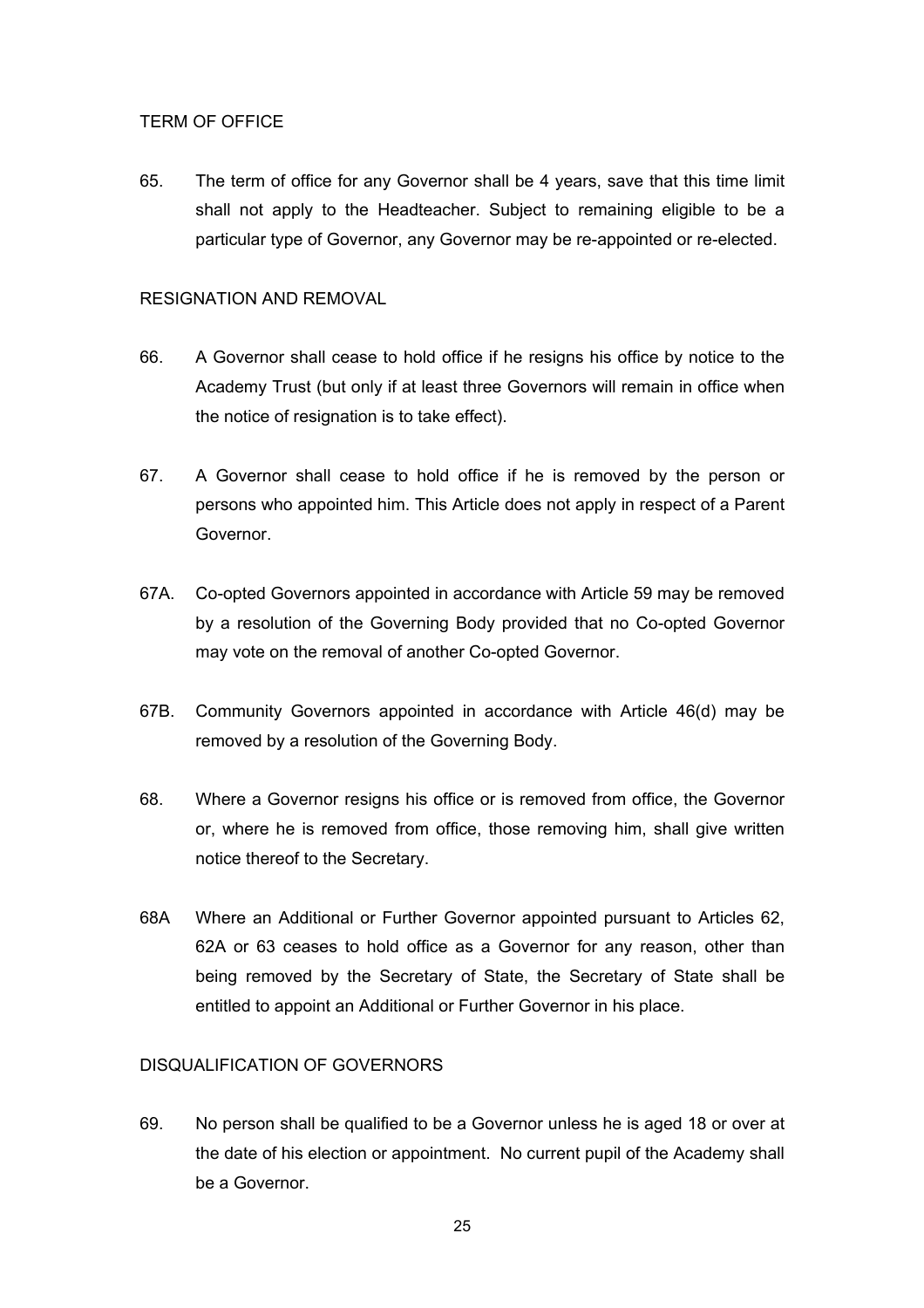## TERM OF OFFICE

65. The term of office for any Governor shall be 4 years, save that this time limit shall not apply to the Headteacher. Subject to remaining eligible to be a particular type of Governor, any Governor may be re-appointed or re-elected.

## RESIGNATION AND REMOVAL

- 66. A Governor shall cease to hold office if he resigns his office by notice to the Academy Trust (but only if at least three Governors will remain in office when the notice of resignation is to take effect).
- 67. A Governor shall cease to hold office if he is removed by the person or persons who appointed him. This Article does not apply in respect of a Parent Governor.
- 67A. Co-opted Governors appointed in accordance with Article 59 may be removed by a resolution of the Governing Body provided that no Co-opted Governor may vote on the removal of another Co-opted Governor.
- 67B. Community Governors appointed in accordance with Article 46(d) may be removed by a resolution of the Governing Body.
- 68. Where a Governor resigns his office or is removed from office, the Governor or, where he is removed from office, those removing him, shall give written notice thereof to the Secretary.
- 68A Where an Additional or Further Governor appointed pursuant to Articles 62, 62A or 63 ceases to hold office as a Governor for any reason, other than being removed by the Secretary of State, the Secretary of State shall be entitled to appoint an Additional or Further Governor in his place.

## DISQUALIFICATION OF GOVERNORS

69. No person shall be qualified to be a Governor unless he is aged 18 or over at the date of his election or appointment. No current pupil of the Academy shall be a Governor.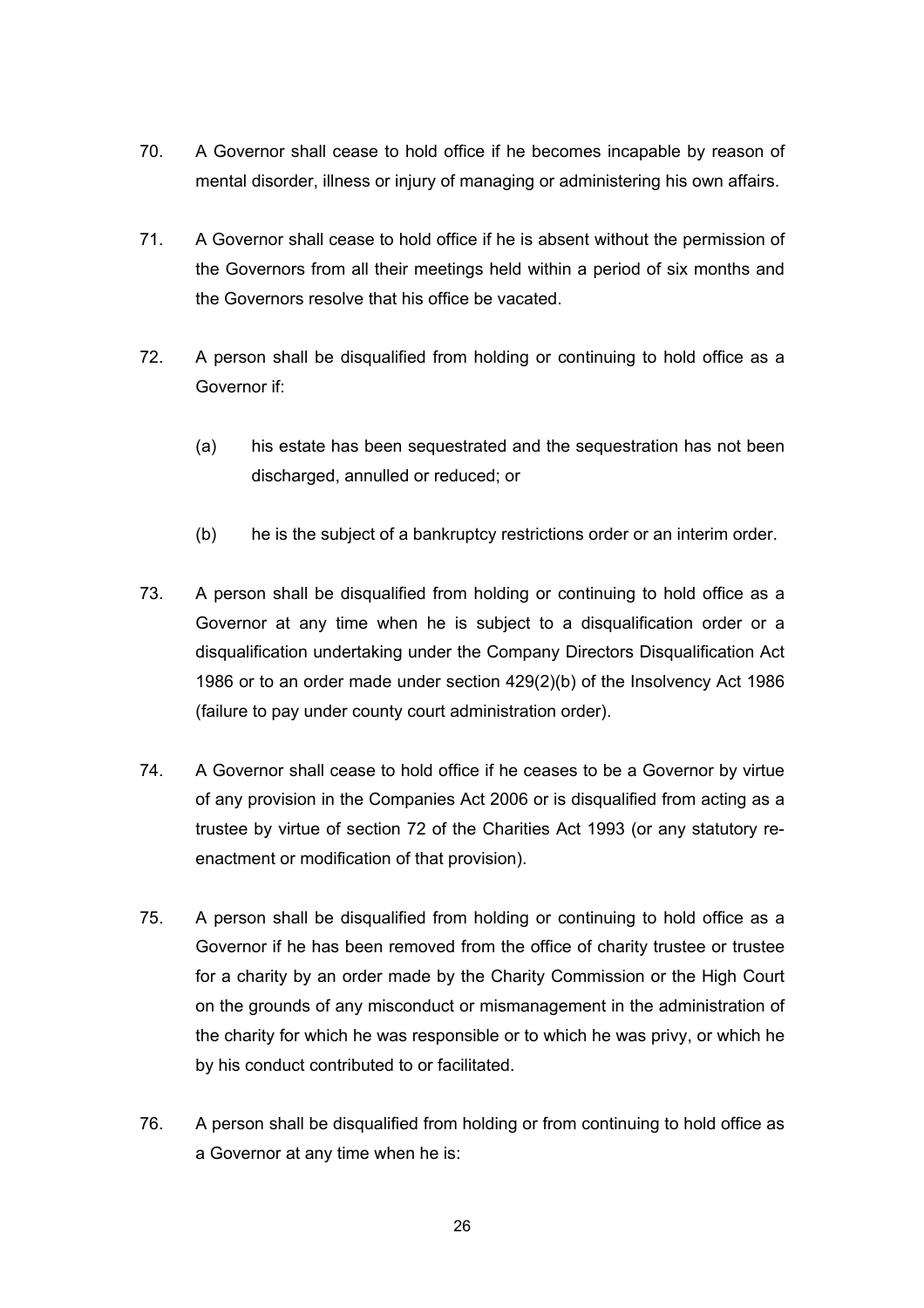- 70. A Governor shall cease to hold office if he becomes incapable by reason of mental disorder, illness or injury of managing or administering his own affairs.
- 71. A Governor shall cease to hold office if he is absent without the permission of the Governors from all their meetings held within a period of six months and the Governors resolve that his office be vacated.
- 72. A person shall be disqualified from holding or continuing to hold office as a Governor if:
	- (a) his estate has been sequestrated and the sequestration has not been discharged, annulled or reduced; or
	- (b) he is the subject of a bankruptcy restrictions order or an interim order.
- 73. A person shall be disqualified from holding or continuing to hold office as a Governor at any time when he is subject to a disqualification order or a disqualification undertaking under the Company Directors Disqualification Act 1986 or to an order made under section 429(2)(b) of the Insolvency Act 1986 (failure to pay under county court administration order).
- 74. A Governor shall cease to hold office if he ceases to be a Governor by virtue of any provision in the Companies Act 2006 or is disqualified from acting as a trustee by virtue of section 72 of the Charities Act 1993 (or any statutory reenactment or modification of that provision).
- 75. A person shall be disqualified from holding or continuing to hold office as a Governor if he has been removed from the office of charity trustee or trustee for a charity by an order made by the Charity Commission or the High Court on the grounds of any misconduct or mismanagement in the administration of the charity for which he was responsible or to which he was privy, or which he by his conduct contributed to or facilitated.
- 76. A person shall be disqualified from holding or from continuing to hold office as a Governor at any time when he is: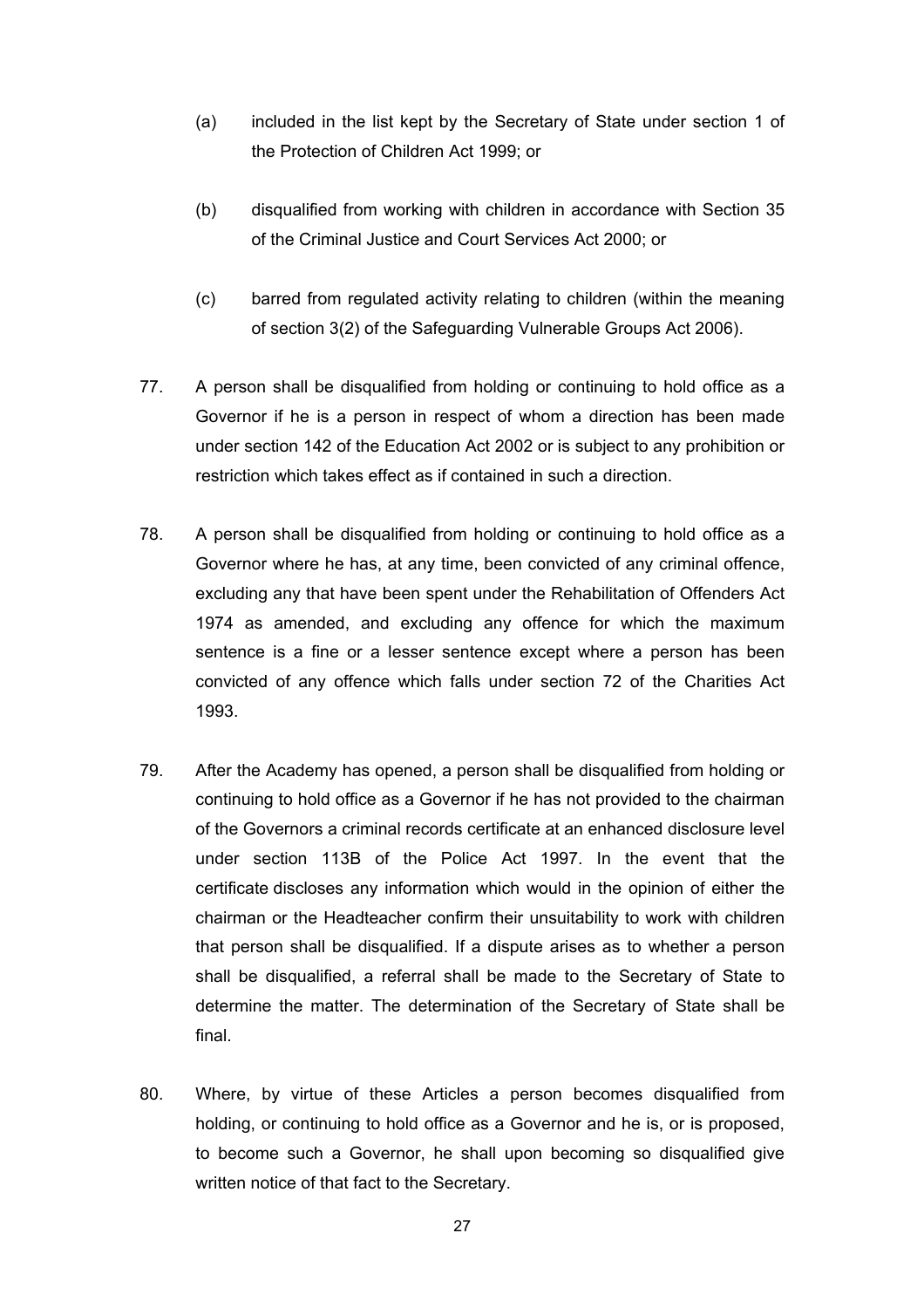- (a) included in the list kept by the Secretary of State under section 1 of the Protection of Children Act 1999; or
- (b) disqualified from working with children in accordance with Section 35 of the Criminal Justice and Court Services Act 2000; or
- (c) barred from regulated activity relating to children (within the meaning of section 3(2) of the Safeguarding Vulnerable Groups Act 2006).
- 77. A person shall be disqualified from holding or continuing to hold office as a Governor if he is a person in respect of whom a direction has been made under section 142 of the Education Act 2002 or is subject to any prohibition or restriction which takes effect as if contained in such a direction.
- 78. A person shall be disqualified from holding or continuing to hold office as a Governor where he has, at any time, been convicted of any criminal offence, excluding any that have been spent under the Rehabilitation of Offenders Act 1974 as amended, and excluding any offence for which the maximum sentence is a fine or a lesser sentence except where a person has been convicted of any offence which falls under section 72 of the Charities Act 1993.
- 79. After the Academy has opened, a person shall be disqualified from holding or continuing to hold office as a Governor if he has not provided to the chairman of the Governors a criminal records certificate at an enhanced disclosure level under section 113B of the Police Act 1997. In the event that the certificate discloses any information which would in the opinion of either the chairman or the Headteacher confirm their unsuitability to work with children that person shall be disqualified. If a dispute arises as to whether a person shall be disqualified, a referral shall be made to the Secretary of State to determine the matter. The determination of the Secretary of State shall be final.
- 80. Where, by virtue of these Articles a person becomes disqualified from holding, or continuing to hold office as a Governor and he is, or is proposed, to become such a Governor, he shall upon becoming so disqualified give written notice of that fact to the Secretary.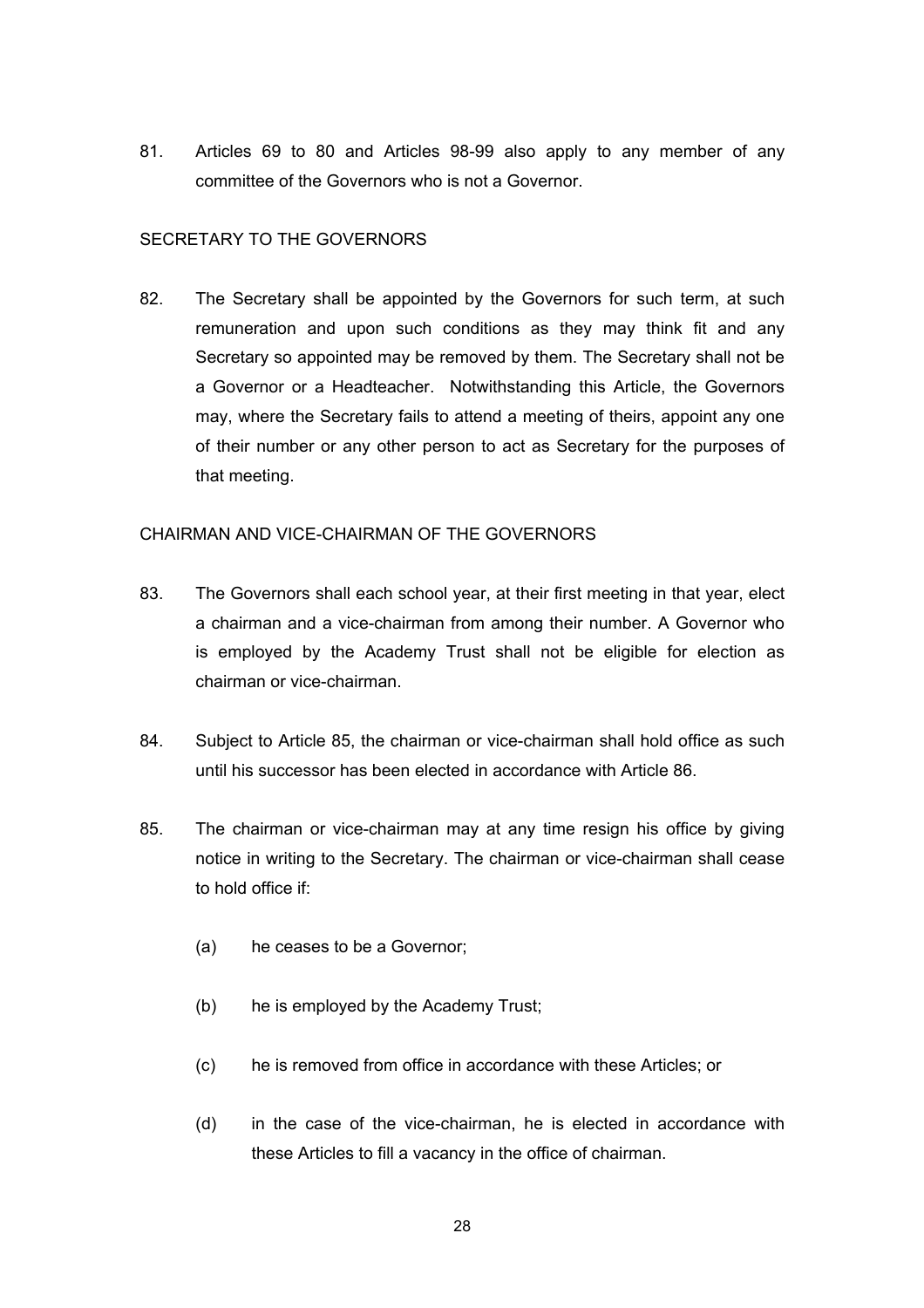81. Articles 69 to 80 and Articles 98-99 also apply to any member of any committee of the Governors who is not a Governor.

## SECRETARY TO THE GOVERNORS

82. The Secretary shall be appointed by the Governors for such term, at such remuneration and upon such conditions as they may think fit and any Secretary so appointed may be removed by them. The Secretary shall not be a Governor or a Headteacher. Notwithstanding this Article, the Governors may, where the Secretary fails to attend a meeting of theirs, appoint any one of their number or any other person to act as Secretary for the purposes of that meeting.

#### CHAIRMAN AND VICE-CHAIRMAN OF THE GOVERNORS

- 83. The Governors shall each school year, at their first meeting in that year, elect a chairman and a vice-chairman from among their number. A Governor who is employed by the Academy Trust shall not be eligible for election as chairman or vice-chairman.
- 84. Subject to Article 85, the chairman or vice-chairman shall hold office as such until his successor has been elected in accordance with Article 86.
- 85. The chairman or vice-chairman may at any time resign his office by giving notice in writing to the Secretary. The chairman or vice-chairman shall cease to hold office if:
	- (a) he ceases to be a Governor;
	- (b) he is employed by the Academy Trust;
	- (c) he is removed from office in accordance with these Articles; or
	- (d) in the case of the vice-chairman, he is elected in accordance with these Articles to fill a vacancy in the office of chairman.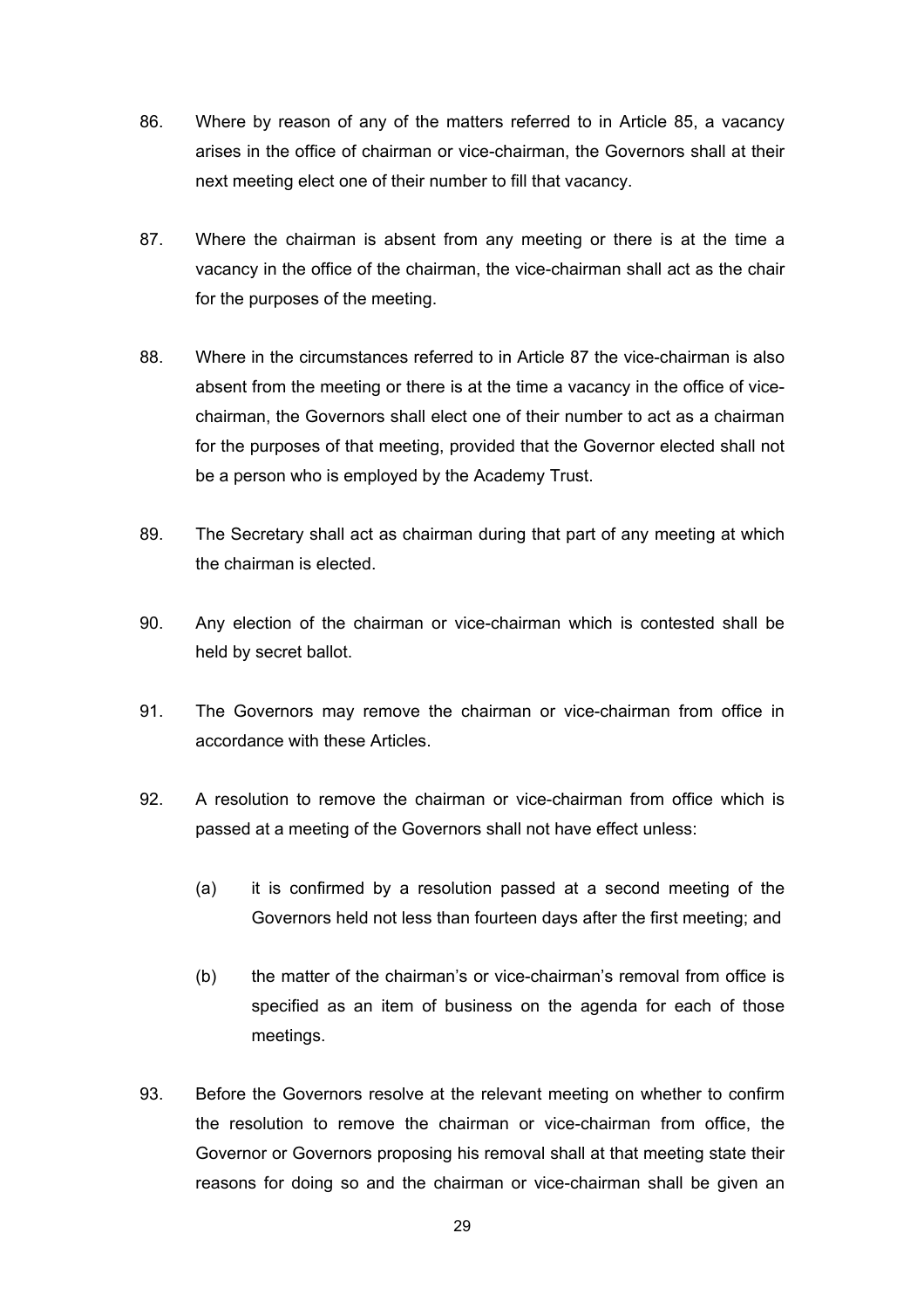- 86. Where by reason of any of the matters referred to in Article 85, a vacancy arises in the office of chairman or vice-chairman, the Governors shall at their next meeting elect one of their number to fill that vacancy.
- 87. Where the chairman is absent from any meeting or there is at the time a vacancy in the office of the chairman, the vice-chairman shall act as the chair for the purposes of the meeting.
- 88. Where in the circumstances referred to in Article 87 the vice-chairman is also absent from the meeting or there is at the time a vacancy in the office of vicechairman, the Governors shall elect one of their number to act as a chairman for the purposes of that meeting, provided that the Governor elected shall not be a person who is employed by the Academy Trust.
- 89. The Secretary shall act as chairman during that part of any meeting at which the chairman is elected.
- 90. Any election of the chairman or vice-chairman which is contested shall be held by secret ballot.
- 91. The Governors may remove the chairman or vice-chairman from office in accordance with these Articles.
- 92. A resolution to remove the chairman or vice-chairman from office which is passed at a meeting of the Governors shall not have effect unless:
	- (a) it is confirmed by a resolution passed at a second meeting of the Governors held not less than fourteen days after the first meeting; and
	- (b) the matter of the chairman's or vice-chairman's removal from office is specified as an item of business on the agenda for each of those meetings.
- 93. Before the Governors resolve at the relevant meeting on whether to confirm the resolution to remove the chairman or vice-chairman from office, the Governor or Governors proposing his removal shall at that meeting state their reasons for doing so and the chairman or vice-chairman shall be given an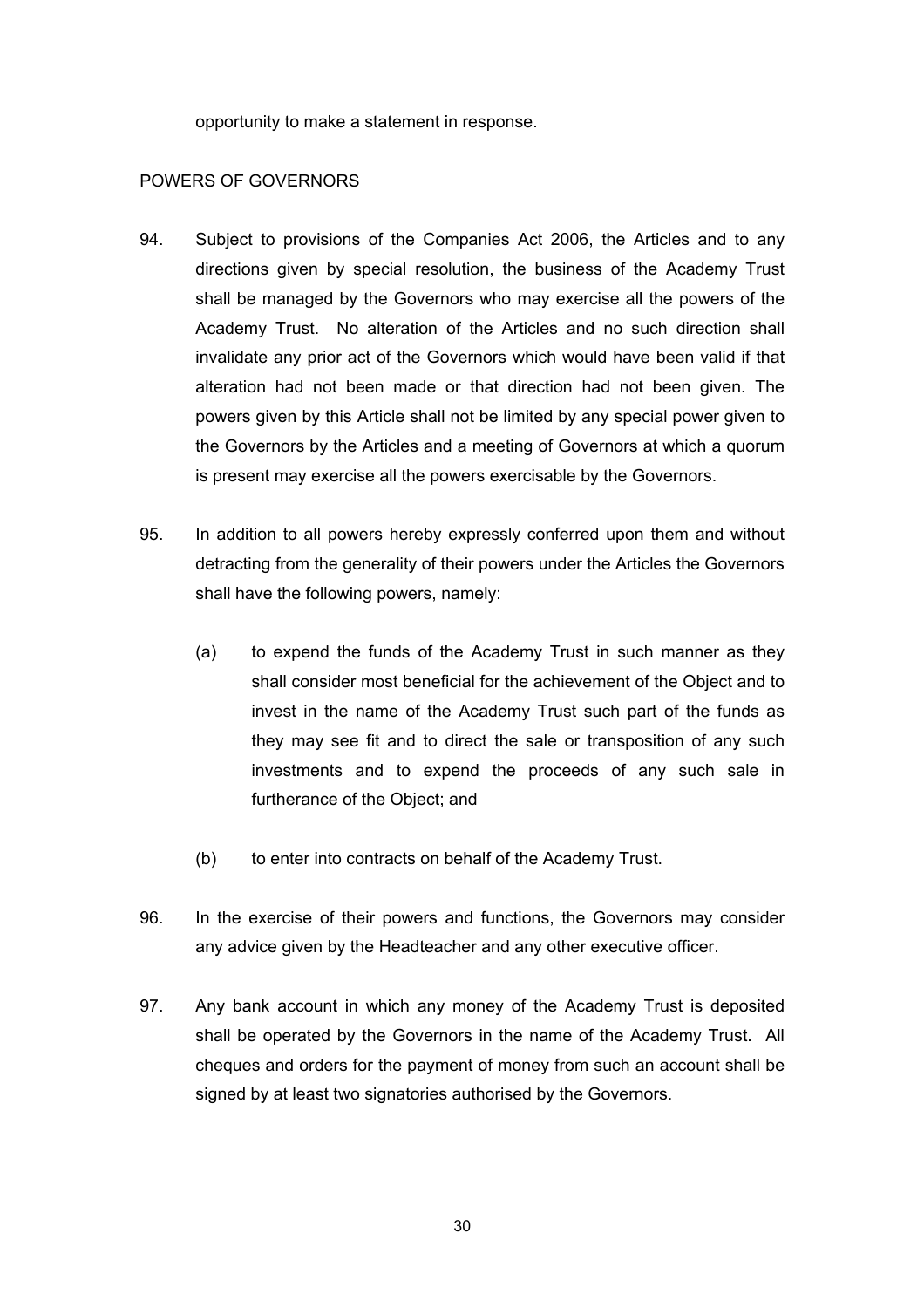opportunity to make a statement in response.

#### POWERS OF GOVERNORS

- 94. Subject to provisions of the Companies Act 2006, the Articles and to any directions given by special resolution, the business of the Academy Trust shall be managed by the Governors who may exercise all the powers of the Academy Trust. No alteration of the Articles and no such direction shall invalidate any prior act of the Governors which would have been valid if that alteration had not been made or that direction had not been given. The powers given by this Article shall not be limited by any special power given to the Governors by the Articles and a meeting of Governors at which a quorum is present may exercise all the powers exercisable by the Governors.
- 95. In addition to all powers hereby expressly conferred upon them and without detracting from the generality of their powers under the Articles the Governors shall have the following powers, namely:
	- (a) to expend the funds of the Academy Trust in such manner as they shall consider most beneficial for the achievement of the Object and to invest in the name of the Academy Trust such part of the funds as they may see fit and to direct the sale or transposition of any such investments and to expend the proceeds of any such sale in furtherance of the Object; and
	- (b) to enter into contracts on behalf of the Academy Trust.
- 96. In the exercise of their powers and functions, the Governors may consider any advice given by the Headteacher and any other executive officer.
- 97. Any bank account in which any money of the Academy Trust is deposited shall be operated by the Governors in the name of the Academy Trust. All cheques and orders for the payment of money from such an account shall be signed by at least two signatories authorised by the Governors.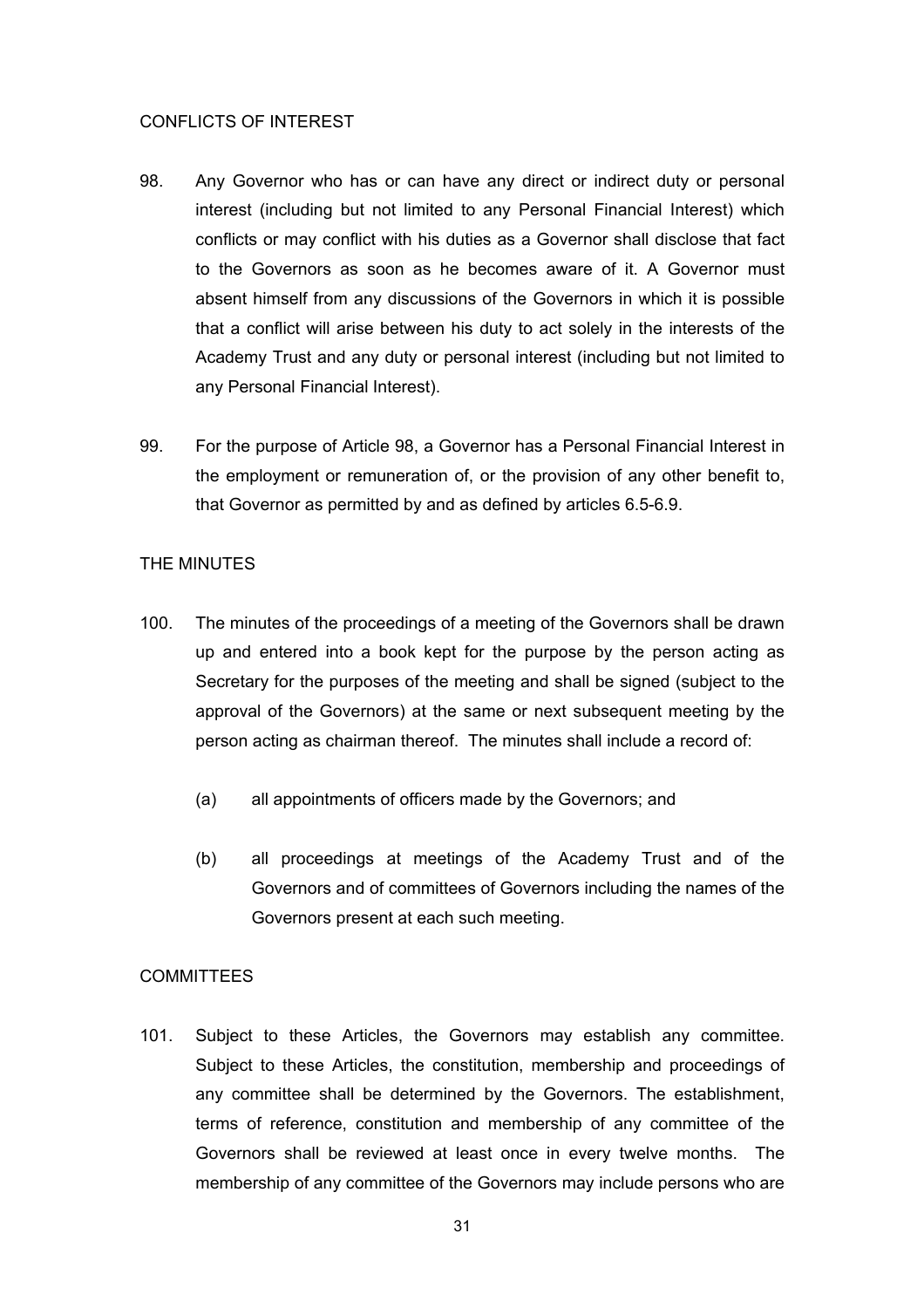#### CONFLICTS OF INTEREST

- 98. Any Governor who has or can have any direct or indirect duty or personal interest (including but not limited to any Personal Financial Interest) which conflicts or may conflict with his duties as a Governor shall disclose that fact to the Governors as soon as he becomes aware of it. A Governor must absent himself from any discussions of the Governors in which it is possible that a conflict will arise between his duty to act solely in the interests of the Academy Trust and any duty or personal interest (including but not limited to any Personal Financial Interest).
- 99. For the purpose of Article 98, a Governor has a Personal Financial Interest in the employment or remuneration of, or the provision of any other benefit to, that Governor as permitted by and as defined by articles 6.5-6.9.

## THE MINUTES

- 100. The minutes of the proceedings of a meeting of the Governors shall be drawn up and entered into a book kept for the purpose by the person acting as Secretary for the purposes of the meeting and shall be signed (subject to the approval of the Governors) at the same or next subsequent meeting by the person acting as chairman thereof. The minutes shall include a record of:
	- (a) all appointments of officers made by the Governors; and
	- (b) all proceedings at meetings of the Academy Trust and of the Governors and of committees of Governors including the names of the Governors present at each such meeting.

## **COMMITTEES**

101. Subject to these Articles, the Governors may establish any committee. Subject to these Articles, the constitution, membership and proceedings of any committee shall be determined by the Governors. The establishment, terms of reference, constitution and membership of any committee of the Governors shall be reviewed at least once in every twelve months. The membership of any committee of the Governors may include persons who are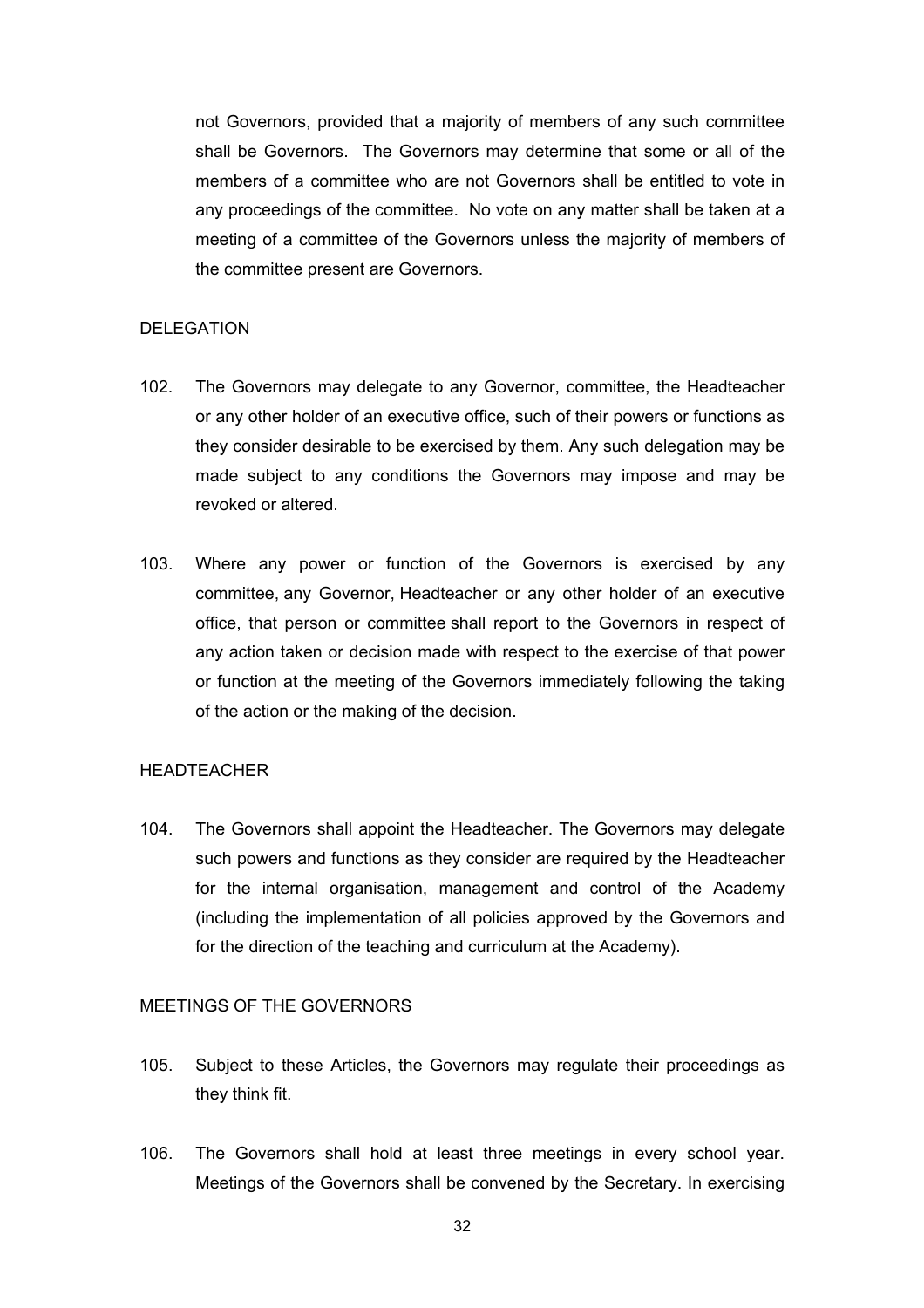not Governors, provided that a majority of members of any such committee shall be Governors. The Governors may determine that some or all of the members of a committee who are not Governors shall be entitled to vote in any proceedings of the committee. No vote on any matter shall be taken at a meeting of a committee of the Governors unless the majority of members of the committee present are Governors.

#### **DELEGATION**

- 102. The Governors may delegate to any Governor, committee, the Headteacher or any other holder of an executive office, such of their powers or functions as they consider desirable to be exercised by them. Any such delegation may be made subject to any conditions the Governors may impose and may be revoked or altered.
- 103. Where any power or function of the Governors is exercised by any committee, any Governor, Headteacher or any other holder of an executive office, that person or committee shall report to the Governors in respect of any action taken or decision made with respect to the exercise of that power or function at the meeting of the Governors immediately following the taking of the action or the making of the decision.

## HEADTEACHER

104. The Governors shall appoint the Headteacher. The Governors may delegate such powers and functions as they consider are required by the Headteacher for the internal organisation, management and control of the Academy (including the implementation of all policies approved by the Governors and for the direction of the teaching and curriculum at the Academy).

## MEETINGS OF THE GOVERNORS

- 105. Subject to these Articles, the Governors may regulate their proceedings as they think fit.
- 106. The Governors shall hold at least three meetings in every school year. Meetings of the Governors shall be convened by the Secretary. In exercising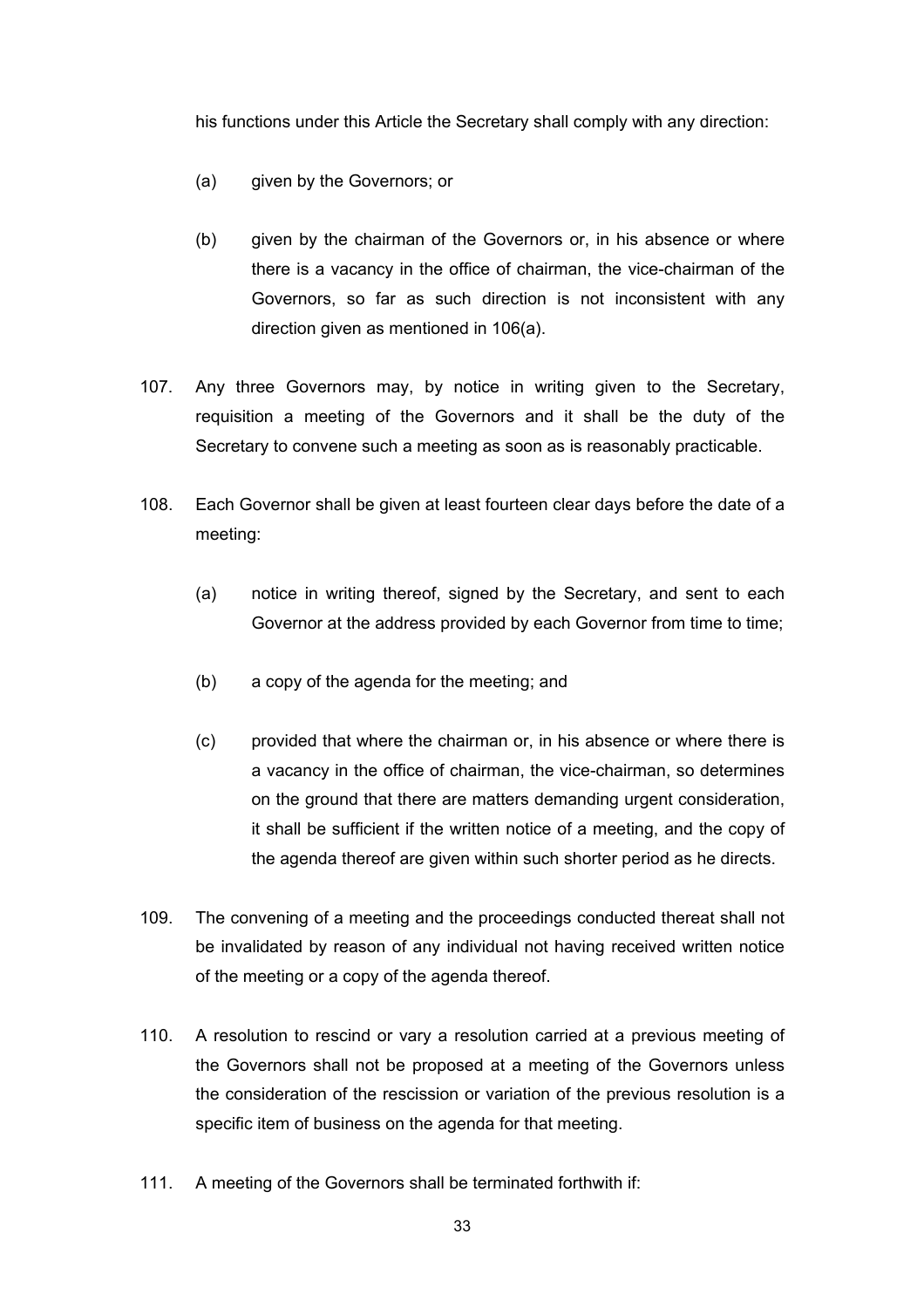his functions under this Article the Secretary shall comply with any direction:

- (a) given by the Governors; or
- (b) given by the chairman of the Governors or, in his absence or where there is a vacancy in the office of chairman, the vice-chairman of the Governors, so far as such direction is not inconsistent with any direction given as mentioned in 106(a).
- 107. Any three Governors may, by notice in writing given to the Secretary, requisition a meeting of the Governors and it shall be the duty of the Secretary to convene such a meeting as soon as is reasonably practicable.
- 108. Each Governor shall be given at least fourteen clear days before the date of a meeting:
	- (a) notice in writing thereof, signed by the Secretary, and sent to each Governor at the address provided by each Governor from time to time;
	- (b) a copy of the agenda for the meeting; and
	- (c) provided that where the chairman or, in his absence or where there is a vacancy in the office of chairman, the vice-chairman, so determines on the ground that there are matters demanding urgent consideration, it shall be sufficient if the written notice of a meeting, and the copy of the agenda thereof are given within such shorter period as he directs.
- 109. The convening of a meeting and the proceedings conducted thereat shall not be invalidated by reason of any individual not having received written notice of the meeting or a copy of the agenda thereof.
- 110. A resolution to rescind or vary a resolution carried at a previous meeting of the Governors shall not be proposed at a meeting of the Governors unless the consideration of the rescission or variation of the previous resolution is a specific item of business on the agenda for that meeting.
- 111. A meeting of the Governors shall be terminated forthwith if: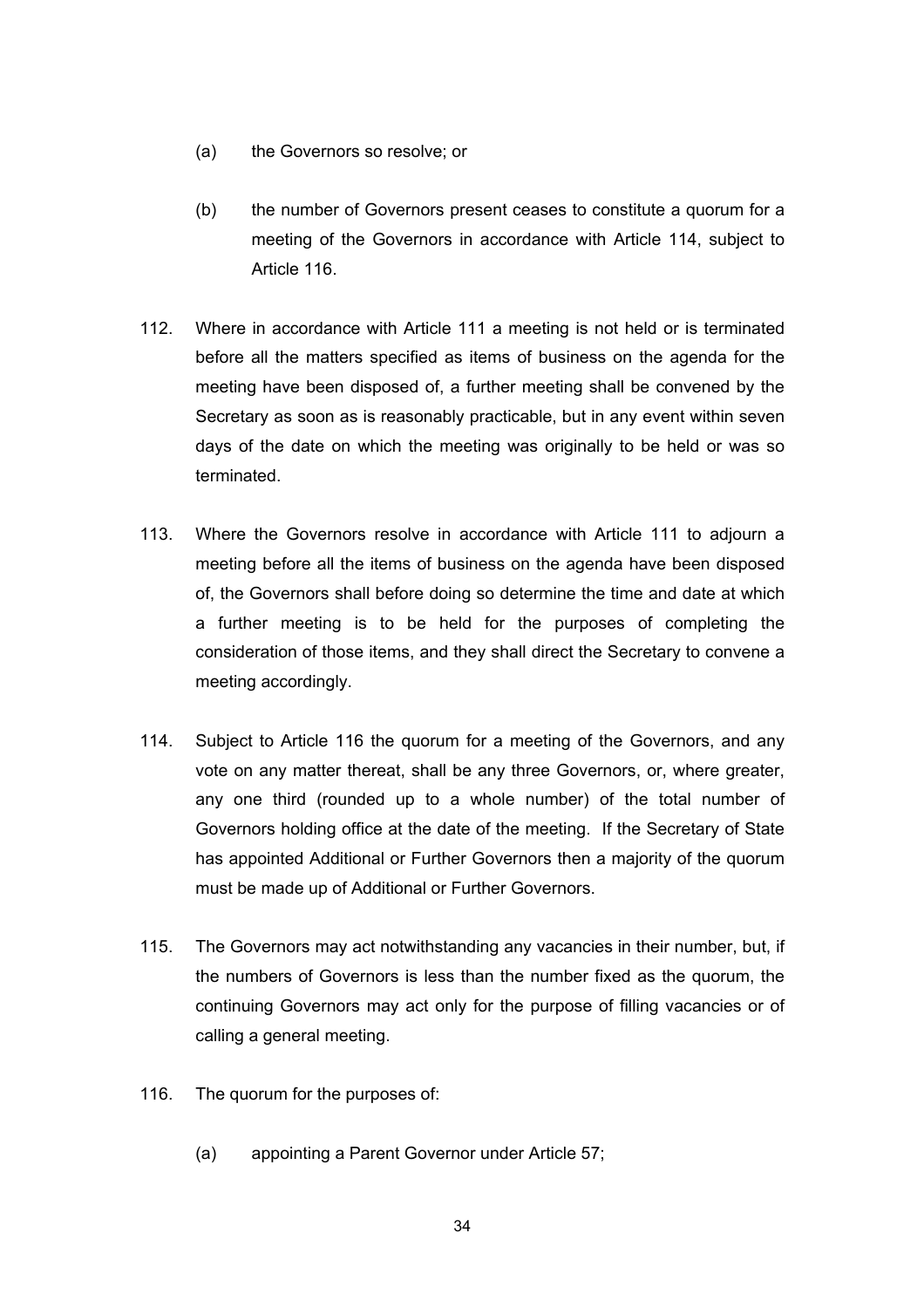- (a) the Governors so resolve; or
- (b) the number of Governors present ceases to constitute a quorum for a meeting of the Governors in accordance with Article 114, subject to Article 116.
- 112. Where in accordance with Article 111 a meeting is not held or is terminated before all the matters specified as items of business on the agenda for the meeting have been disposed of, a further meeting shall be convened by the Secretary as soon as is reasonably practicable, but in any event within seven days of the date on which the meeting was originally to be held or was so terminated.
- 113. Where the Governors resolve in accordance with Article 111 to adjourn a meeting before all the items of business on the agenda have been disposed of, the Governors shall before doing so determine the time and date at which a further meeting is to be held for the purposes of completing the consideration of those items, and they shall direct the Secretary to convene a meeting accordingly.
- 114. Subject to Article 116 the quorum for a meeting of the Governors, and any vote on any matter thereat, shall be any three Governors, or, where greater, any one third (rounded up to a whole number) of the total number of Governors holding office at the date of the meeting. If the Secretary of State has appointed Additional or Further Governors then a majority of the quorum must be made up of Additional or Further Governors.
- 115. The Governors may act notwithstanding any vacancies in their number, but, if the numbers of Governors is less than the number fixed as the quorum, the continuing Governors may act only for the purpose of filling vacancies or of calling a general meeting.
- 116. The quorum for the purposes of:
	- (a) appointing a Parent Governor under Article 57;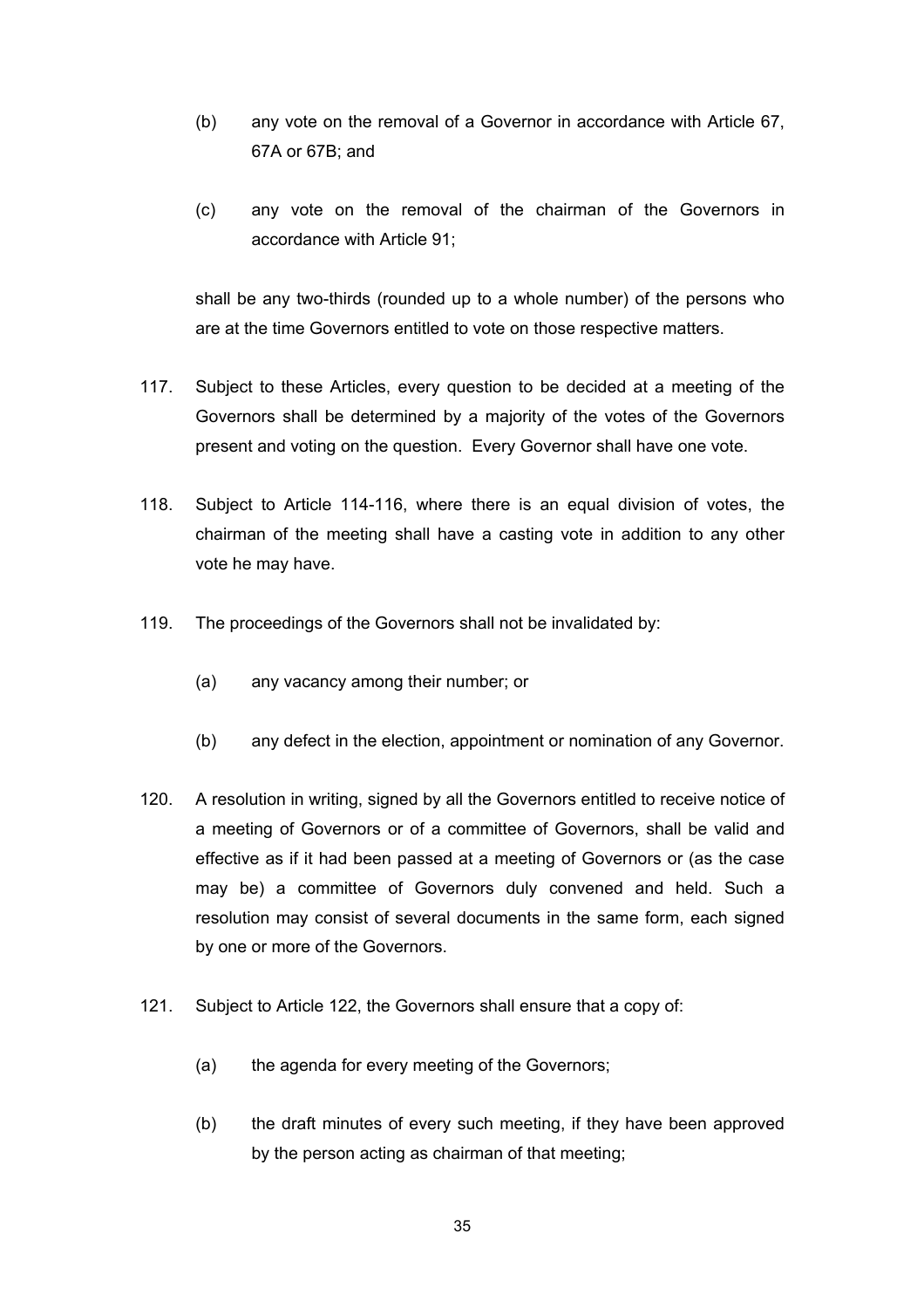- (b) any vote on the removal of a Governor in accordance with Article 67, 67A or 67B; and
- (c) any vote on the removal of the chairman of the Governors in accordance with Article 91;

shall be any two-thirds (rounded up to a whole number) of the persons who are at the time Governors entitled to vote on those respective matters.

- 117. Subject to these Articles, every question to be decided at a meeting of the Governors shall be determined by a majority of the votes of the Governors present and voting on the question. Every Governor shall have one vote.
- 118. Subject to Article 114-116, where there is an equal division of votes, the chairman of the meeting shall have a casting vote in addition to any other vote he may have.
- 119. The proceedings of the Governors shall not be invalidated by:
	- (a) any vacancy among their number; or
	- (b) any defect in the election, appointment or nomination of any Governor.
- 120. A resolution in writing, signed by all the Governors entitled to receive notice of a meeting of Governors or of a committee of Governors, shall be valid and effective as if it had been passed at a meeting of Governors or (as the case may be) a committee of Governors duly convened and held. Such a resolution may consist of several documents in the same form, each signed by one or more of the Governors.
- 121. Subject to Article 122, the Governors shall ensure that a copy of:
	- (a) the agenda for every meeting of the Governors;
	- (b) the draft minutes of every such meeting, if they have been approved by the person acting as chairman of that meeting;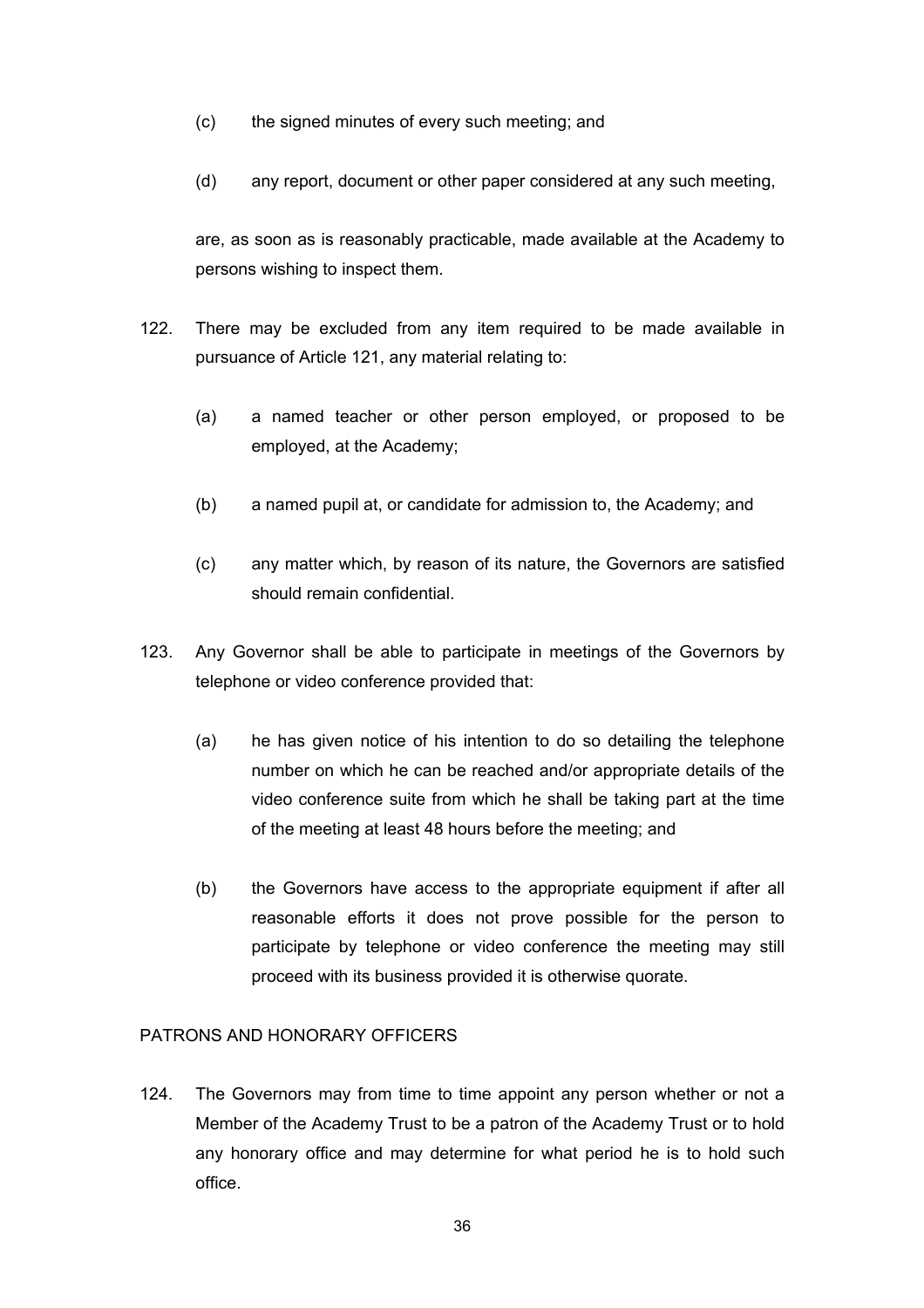- (c) the signed minutes of every such meeting; and
- (d) any report, document or other paper considered at any such meeting,

are, as soon as is reasonably practicable, made available at the Academy to persons wishing to inspect them.

- 122. There may be excluded from any item required to be made available in pursuance of Article 121, any material relating to:
	- (a) a named teacher or other person employed, or proposed to be employed, at the Academy;
	- (b) a named pupil at, or candidate for admission to, the Academy; and
	- (c) any matter which, by reason of its nature, the Governors are satisfied should remain confidential.
- 123. Any Governor shall be able to participate in meetings of the Governors by telephone or video conference provided that:
	- (a) he has given notice of his intention to do so detailing the telephone number on which he can be reached and/or appropriate details of the video conference suite from which he shall be taking part at the time of the meeting at least 48 hours before the meeting; and
	- (b) the Governors have access to the appropriate equipment if after all reasonable efforts it does not prove possible for the person to participate by telephone or video conference the meeting may still proceed with its business provided it is otherwise quorate.

## PATRONS AND HONORARY OFFICERS

124. The Governors may from time to time appoint any person whether or not a Member of the Academy Trust to be a patron of the Academy Trust or to hold any honorary office and may determine for what period he is to hold such office.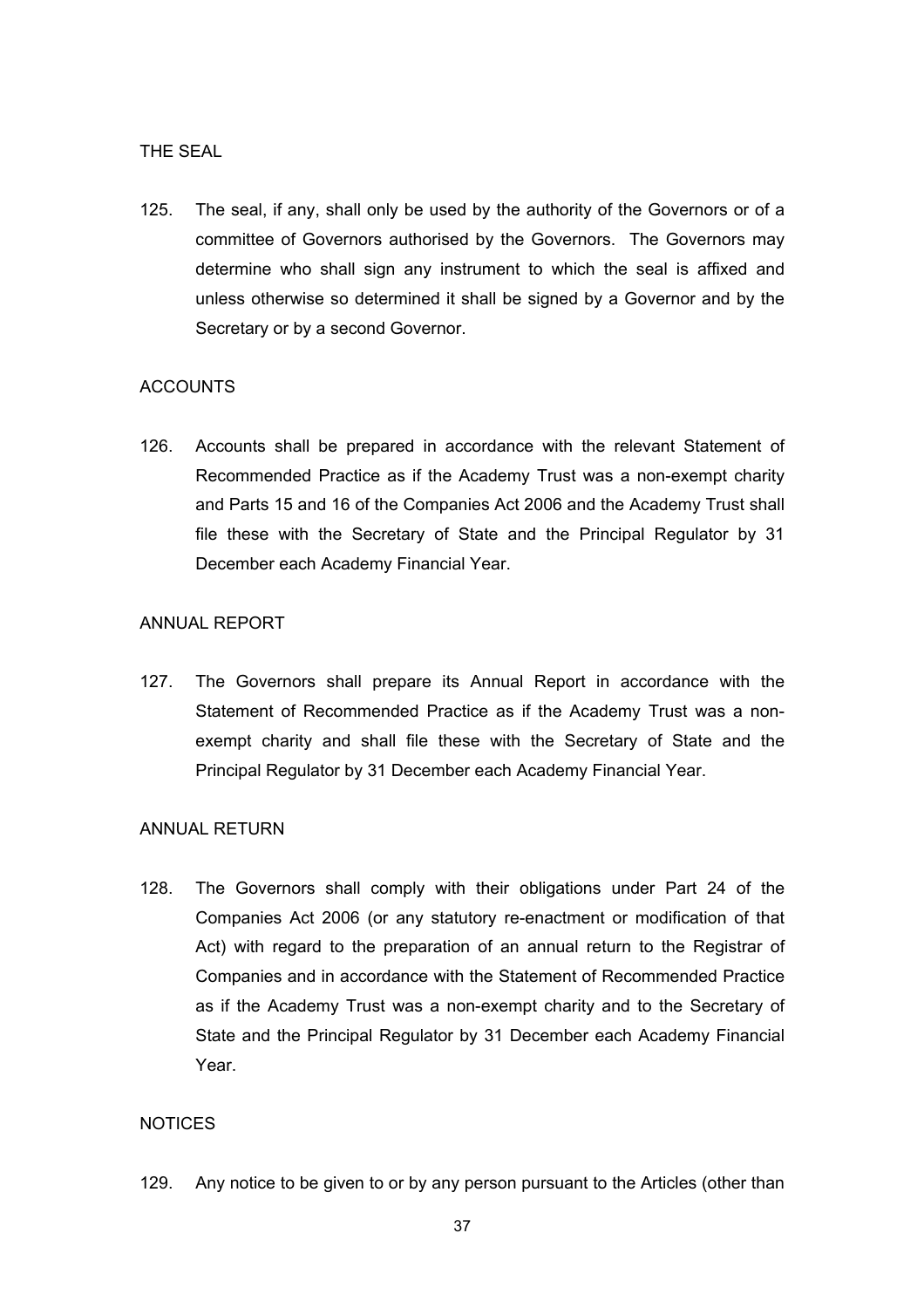#### THE SEAL

125. The seal, if any, shall only be used by the authority of the Governors or of a committee of Governors authorised by the Governors. The Governors may determine who shall sign any instrument to which the seal is affixed and unless otherwise so determined it shall be signed by a Governor and by the Secretary or by a second Governor.

#### **ACCOUNTS**

126. Accounts shall be prepared in accordance with the relevant Statement of Recommended Practice as if the Academy Trust was a non-exempt charity and Parts 15 and 16 of the Companies Act 2006 and the Academy Trust shall file these with the Secretary of State and the Principal Regulator by 31 December each Academy Financial Year.

## ANNUAL REPORT

127. The Governors shall prepare its Annual Report in accordance with the Statement of Recommended Practice as if the Academy Trust was a nonexempt charity and shall file these with the Secretary of State and the Principal Regulator by 31 December each Academy Financial Year.

#### ANNUAL RETURN

128. The Governors shall comply with their obligations under Part 24 of the Companies Act 2006 (or any statutory re-enactment or modification of that Act) with regard to the preparation of an annual return to the Registrar of Companies and in accordance with the Statement of Recommended Practice as if the Academy Trust was a non-exempt charity and to the Secretary of State and the Principal Regulator by 31 December each Academy Financial Year.

## **NOTICES**

129. Any notice to be given to or by any person pursuant to the Articles (other than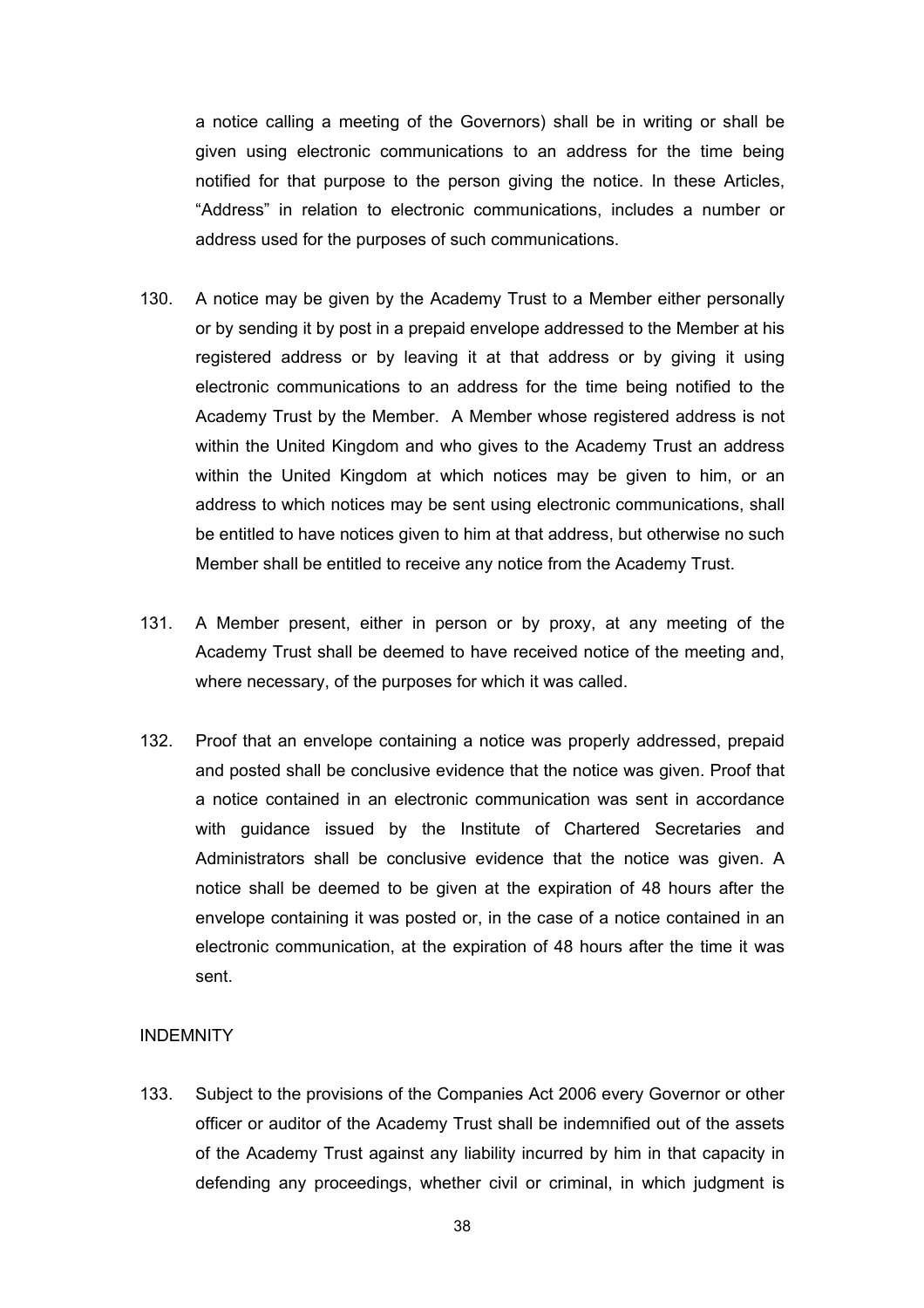a notice calling a meeting of the Governors) shall be in writing or shall be given using electronic communications to an address for the time being notified for that purpose to the person giving the notice. In these Articles, "Address" in relation to electronic communications, includes a number or address used for the purposes of such communications.

- 130. A notice may be given by the Academy Trust to a Member either personally or by sending it by post in a prepaid envelope addressed to the Member at his registered address or by leaving it at that address or by giving it using electronic communications to an address for the time being notified to the Academy Trust by the Member. A Member whose registered address is not within the United Kingdom and who gives to the Academy Trust an address within the United Kingdom at which notices may be given to him, or an address to which notices may be sent using electronic communications, shall be entitled to have notices given to him at that address, but otherwise no such Member shall be entitled to receive any notice from the Academy Trust.
- 131. A Member present, either in person or by proxy, at any meeting of the Academy Trust shall be deemed to have received notice of the meeting and, where necessary, of the purposes for which it was called.
- 132. Proof that an envelope containing a notice was properly addressed, prepaid and posted shall be conclusive evidence that the notice was given. Proof that a notice contained in an electronic communication was sent in accordance with guidance issued by the Institute of Chartered Secretaries and Administrators shall be conclusive evidence that the notice was given. A notice shall be deemed to be given at the expiration of 48 hours after the envelope containing it was posted or, in the case of a notice contained in an electronic communication, at the expiration of 48 hours after the time it was sent.

## **INDEMNITY**

133. Subject to the provisions of the Companies Act 2006 every Governor or other officer or auditor of the Academy Trust shall be indemnified out of the assets of the Academy Trust against any liability incurred by him in that capacity in defending any proceedings, whether civil or criminal, in which judgment is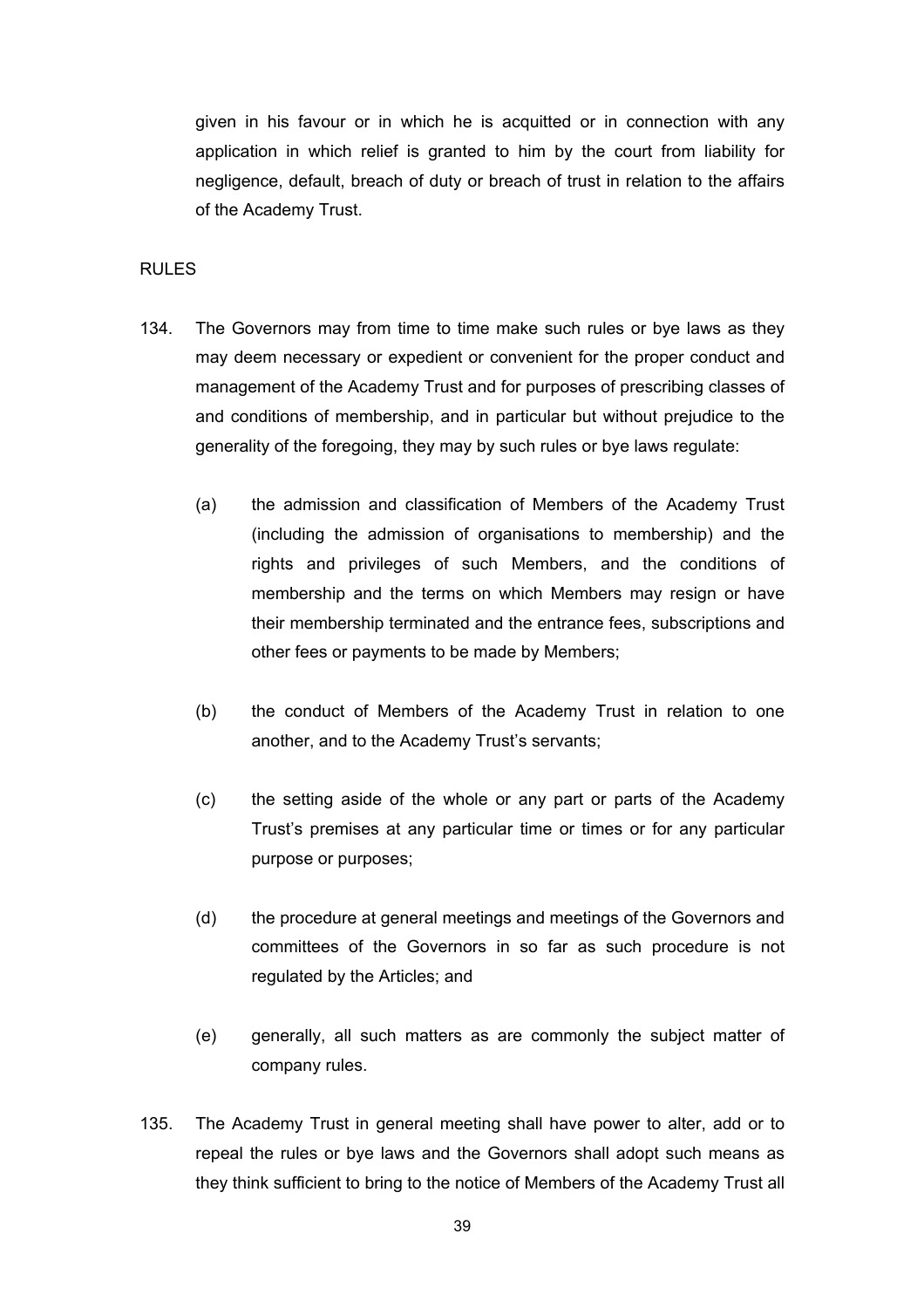given in his favour or in which he is acquitted or in connection with any application in which relief is granted to him by the court from liability for negligence, default, breach of duty or breach of trust in relation to the affairs of the Academy Trust.

## RULES

- 134. The Governors may from time to time make such rules or bye laws as they may deem necessary or expedient or convenient for the proper conduct and management of the Academy Trust and for purposes of prescribing classes of and conditions of membership, and in particular but without prejudice to the generality of the foregoing, they may by such rules or bye laws regulate:
	- (a) the admission and classification of Members of the Academy Trust (including the admission of organisations to membership) and the rights and privileges of such Members, and the conditions of membership and the terms on which Members may resign or have their membership terminated and the entrance fees, subscriptions and other fees or payments to be made by Members;
	- (b) the conduct of Members of the Academy Trust in relation to one another, and to the Academy Trust's servants;
	- (c) the setting aside of the whole or any part or parts of the Academy Trust's premises at any particular time or times or for any particular purpose or purposes;
	- (d) the procedure at general meetings and meetings of the Governors and committees of the Governors in so far as such procedure is not regulated by the Articles; and
	- (e) generally, all such matters as are commonly the subject matter of company rules.
- 135. The Academy Trust in general meeting shall have power to alter, add or to repeal the rules or bye laws and the Governors shall adopt such means as they think sufficient to bring to the notice of Members of the Academy Trust all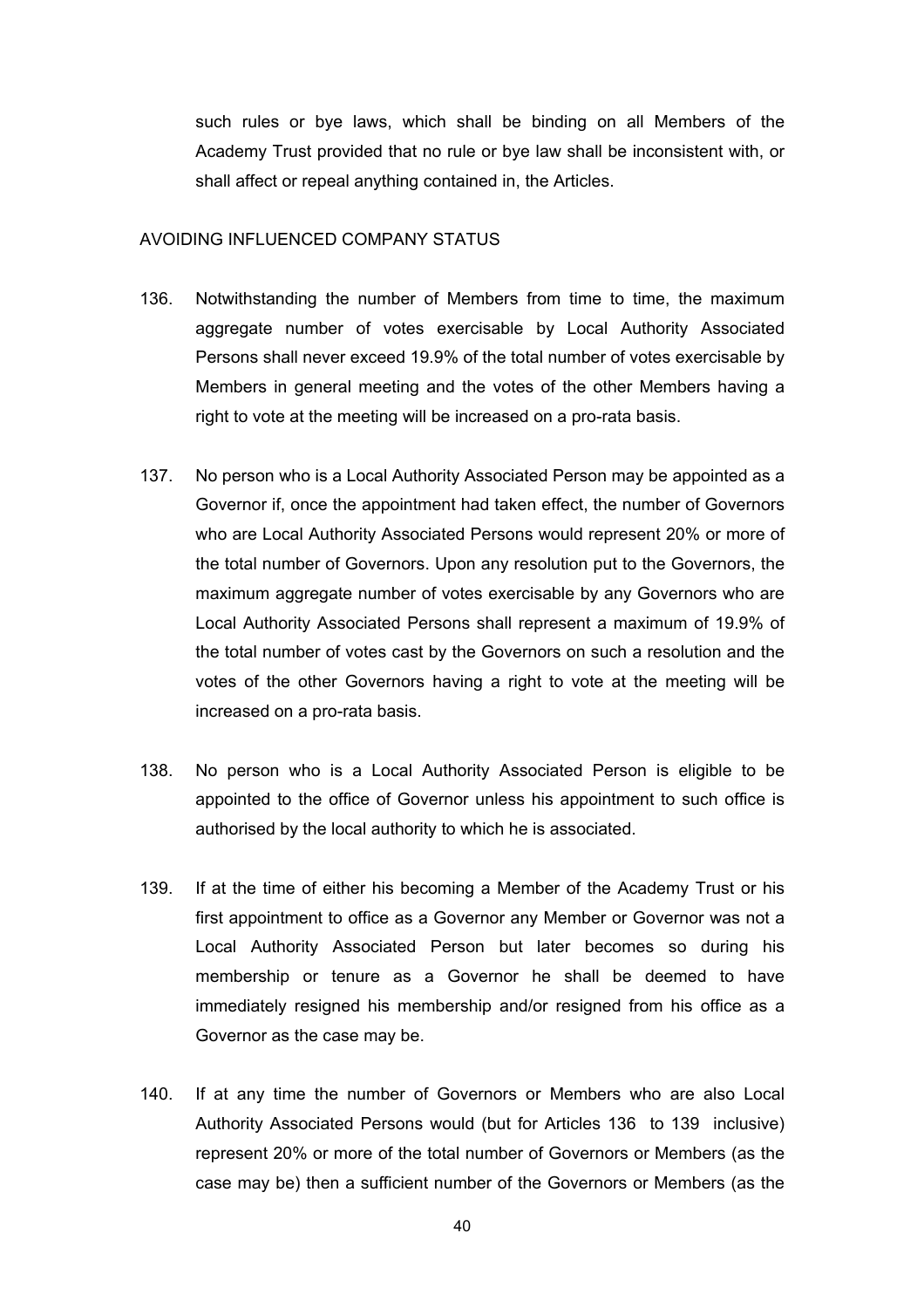such rules or bye laws, which shall be binding on all Members of the Academy Trust provided that no rule or bye law shall be inconsistent with, or shall affect or repeal anything contained in, the Articles.

#### AVOIDING INFLUENCED COMPANY STATUS

- 136. Notwithstanding the number of Members from time to time, the maximum aggregate number of votes exercisable by Local Authority Associated Persons shall never exceed 19.9% of the total number of votes exercisable by Members in general meeting and the votes of the other Members having a right to vote at the meeting will be increased on a pro-rata basis.
- 137. No person who is a Local Authority Associated Person may be appointed as a Governor if, once the appointment had taken effect, the number of Governors who are Local Authority Associated Persons would represent 20% or more of the total number of Governors. Upon any resolution put to the Governors, the maximum aggregate number of votes exercisable by any Governors who are Local Authority Associated Persons shall represent a maximum of 19.9% of the total number of votes cast by the Governors on such a resolution and the votes of the other Governors having a right to vote at the meeting will be increased on a pro-rata basis.
- 138. No person who is a Local Authority Associated Person is eligible to be appointed to the office of Governor unless his appointment to such office is authorised by the local authority to which he is associated.
- 139. If at the time of either his becoming a Member of the Academy Trust or his first appointment to office as a Governor any Member or Governor was not a Local Authority Associated Person but later becomes so during his membership or tenure as a Governor he shall be deemed to have immediately resigned his membership and/or resigned from his office as a Governor as the case may be.
- 140. If at any time the number of Governors or Members who are also Local Authority Associated Persons would (but for Articles 136 to 139 inclusive) represent 20% or more of the total number of Governors or Members (as the case may be) then a sufficient number of the Governors or Members (as the